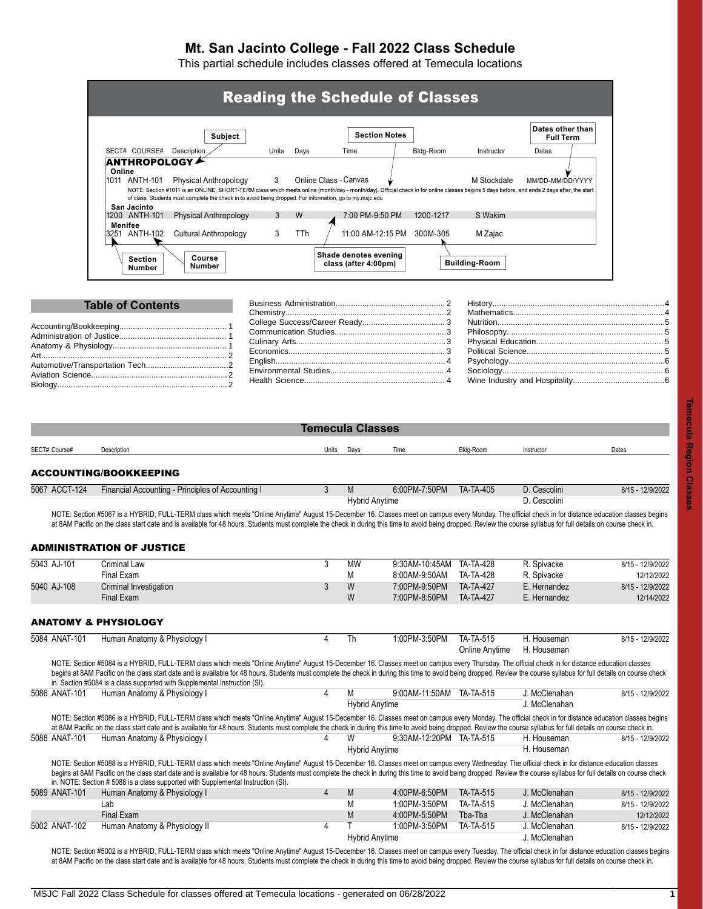# **Mt. San Jacinto College - Fall 2022 Class Schedule**

This partial schedule includes classes offered at Temecula locations

|                        |                                               | Subject                                                                                                                                                                                                                                                                                                                                                  |        |      |                                               | <b>Section Notes</b> |           |                        | Dates other than<br><b>Full Term</b> |  |
|------------------------|-----------------------------------------------|----------------------------------------------------------------------------------------------------------------------------------------------------------------------------------------------------------------------------------------------------------------------------------------------------------------------------------------------------------|--------|------|-----------------------------------------------|----------------------|-----------|------------------------|--------------------------------------|--|
|                        | SECT# COURSE#                                 | Description                                                                                                                                                                                                                                                                                                                                              | Units  | Days | Time                                          |                      | Bldg-Room | Instructor             | Dates                                |  |
| Online                 | 1011 ANTH-101<br>San Jacinto<br>1200 ANTH-101 | Physical Anthropology<br>NOTE: Section #1011 is an ONLINE, SHORT-TERM class which meets online (month/day - month/day). Official check in for online classes begins 5 days before, and ends 2 days after, the start<br>of class. Students must complete the check in to avoid being dropped. For information, go to my.msjc.edu<br>Physical Anthropology | 3<br>3 | W    | Online Class - Canvas                         | 7:00 PM-9:50 PM      | 1200-1217 | M Stockdale<br>S Wakim | MM/DD-MM/DD/YYYY                     |  |
| <b>Menifee</b><br>3251 | ANTH-102                                      | Cultural Anthropology                                                                                                                                                                                                                                                                                                                                    | 3      | TTh  |                                               | 11:00 AM-12:15 PM    | 300M-305  | M Zajac                |                                      |  |
|                        | <b>Section</b><br>Number                      | Course<br>Number                                                                                                                                                                                                                                                                                                                                         |        |      | Shade denotes evening<br>class (after 4:00pm) |                      |           | <b>Building-Room</b>   |                                      |  |

<span id="page-0-0"></span>

| <b>Temecula Classes</b> |                                                   |       |      |                                        |           |                              |                  |  |  |  |  |
|-------------------------|---------------------------------------------------|-------|------|----------------------------------------|-----------|------------------------------|------------------|--|--|--|--|
| SECT# Course#           | Description                                       | Units | Days | Time                                   | Bldg-Room | Instructor                   | Dates            |  |  |  |  |
|                         | <b>ACCOUNTING/BOOKKEEPING</b>                     |       |      |                                        |           |                              |                  |  |  |  |  |
| 5067 ACCT-124           | Financial Accounting - Principles of Accounting I | J     | M    | 6:00PM-7:50PM<br><b>Hybrid Anytime</b> | TA-TA-405 | D. Cescolini<br>D. Cescolini | 8/15 - 12/9/2022 |  |  |  |  |

NOTE: Section #5067 is a HYBRID, FULL-TERM class which meets "Online Anytime" August 15-December 16. Classes meet on campus every Monday. The official check in for distance education classes begins at 8AM Pacific on the class start date and is available for 48 hours. Students must complete the check in during this time to avoid being dropped. Review the course syllabus for full details on course check in.

# <span id="page-0-1"></span>ADMINISTRATION OF JUSTICE

<span id="page-0-2"></span>

| 5043 AJ-101   | Criminal Law                    |   | MW | 9:30AM-10:45AM TA-TA-428 |                  | R. Spivacke  | 8/15 - 12/9/2022 |
|---------------|---------------------------------|---|----|--------------------------|------------------|--------------|------------------|
|               | Final Exam                      |   | M  | 8:00AM-9:50AM            | TA-TA-428        | R. Spivacke  | 12/12/2022       |
| 5040 AJ-108   | Criminal Investigation          |   | W  | 7:00PM-9:50PM            | <b>TA-TA-427</b> | E. Hernandez | 8/15 - 12/9/2022 |
|               | Final Exam                      |   | W  | 7:00PM-8:50PM            | <b>TA-TA-427</b> | E. Hernandez | 12/14/2022       |
|               |                                 |   |    |                          |                  |              |                  |
|               | <b>ANATOMY &amp; PHYSIOLOGY</b> |   |    |                          |                  |              |                  |
| 5084 ANAT-101 | Human Anatomy & Physiology I    | 4 | Th | 1:00PM-3:50PM            | TA-TA-515        | H. Houseman  | 8/15 - 12/9/2022 |
|               |                                 |   |    |                          | Online Anytime   | H. Houseman  |                  |
|               |                                 |   |    |                          |                  |              |                  |

NOTE: Section #5084 is a HYBRID, FULL-TERM class which meets "Online Anytime" August 15-December 16. Classes meet on campus every Thursday. The official check in for distance education classes begins at 8AM Pacific on the class start date and is available for 48 hours. Students must complete the check in during this time to avoid being dropped. Review the course syllabus for full details on course check in. Section #5084 is a class supported with Supplemental Instruction (SI). 5086 ANAT-101 Human Anatomy & Physiology I 4 M 9:00AM-11:50AM TA-TA-515 J. McClenahan 8/15 - 12/9/2022

|               |                                                                                                                                                                                                                                                                                                                                                                                                                                                                                                                 |   |   | <b>Hybrid Anytime</b>    |           | J. McClenahan |                  |  |
|---------------|-----------------------------------------------------------------------------------------------------------------------------------------------------------------------------------------------------------------------------------------------------------------------------------------------------------------------------------------------------------------------------------------------------------------------------------------------------------------------------------------------------------------|---|---|--------------------------|-----------|---------------|------------------|--|
|               | NOTE: Section #5086 is a HYBRID, FULL-TERM class which meets "Online Anytime" August 15-December 16. Classes meet on campus every Monday. The official check in for distance education classes begins<br>at 8AM Pacific on the class start date and is available for 48 hours. Students must complete the check in during this time to avoid being dropped. Review the course syllabus for full details on course check in.                                                                                     |   |   |                          |           |               |                  |  |
| 5088 ANAT-101 | Human Anatomy & Physiology I                                                                                                                                                                                                                                                                                                                                                                                                                                                                                    |   |   | 9:30AM-12:20PM TA-TA-515 |           | H. Houseman   | 8/15 - 12/9/2022 |  |
|               |                                                                                                                                                                                                                                                                                                                                                                                                                                                                                                                 |   |   | <b>Hybrid Anytime</b>    |           | H. Houseman   |                  |  |
|               | NOTE: Section #5088 is a HYBRID, FULL-TERM class which meets "Online Anytime" August 15-December 16. Classes meet on campus every Wednesday. The official check in for distance education classes<br>begins at 8AM Pacific on the class start date and is available for 48 hours. Students must complete the check in during this time to avoid being dropped. Review the course syllabus for full details on course check<br>in. NOTE: Section # 5088 is a class supported with Supplemental Instruction (SI). |   |   |                          |           |               |                  |  |
| 5089 ANAT-101 | Human Anatomy & Physiology I                                                                                                                                                                                                                                                                                                                                                                                                                                                                                    | 4 | M | 4:00PM-6:50PM            | TA-TA-515 | J. McClenahan | 8/15 - 12/9/2022 |  |
|               | Lab                                                                                                                                                                                                                                                                                                                                                                                                                                                                                                             |   |   | 1:00PM-3:50PM            | TA-TA-515 | J. McClenahan | 8/15 - 12/9/2022 |  |
|               | Final Exam                                                                                                                                                                                                                                                                                                                                                                                                                                                                                                      |   | M | 4:00PM-5:50PM            | Tba-Tba   | J. McClenahan | 12/12/2022       |  |
| 5002 ANAT-102 | Human Anatomy & Physiology II                                                                                                                                                                                                                                                                                                                                                                                                                                                                                   | 4 |   | 1:00PM-3:50PM            | TA-TA-515 | J. McClenahan | 8/15 - 12/9/2022 |  |

Hybrid Anytime J. McClenahan NOTE: Section #5002 is a HYBRID, FULL-TERM class which meets "Online Anytime" August 15-December 16. Classes meet on campus every Tuesday. The official check in for distance education classes begins at 8AM Pacific on the class start date and is available for 48 hours. Students must complete the check in during this time to avoid being dropped. Review the course syllabus for full details on course check in.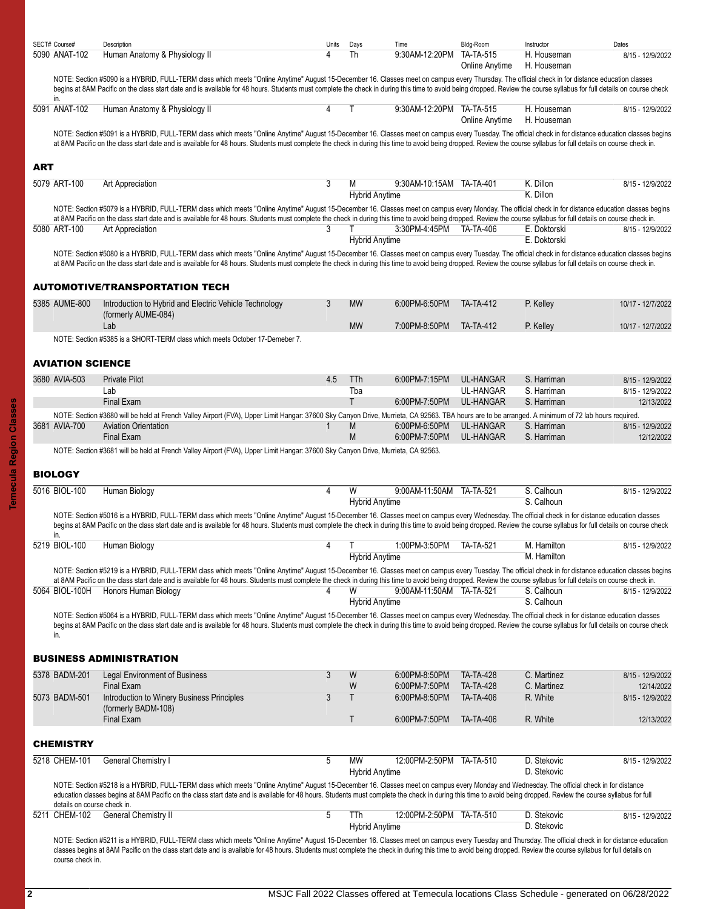| SECT# Course# | Description                   | Units Davs | Time                     | Blda-Room                  | Instructor  | Dates            |
|---------------|-------------------------------|------------|--------------------------|----------------------------|-------------|------------------|
| 5090 ANAT-102 | Human Anatomy & Physiology II |            | 9:30AM-12:20PM TA-TA-515 |                            | H. Houseman | 8/15 - 12/9/2022 |
|               |                               |            |                          | Online Anytime H. Houseman |             |                  |

NOTE: Section #5090 is a HYBRID, FULL-TERM class which meets "Online Anytime" August 15-December 16. Classes meet on campus every Thursday. The official check in for distance education classes begins at 8AM Pacific on the class start date and is available for 48 hours. Students must complete the check in during this time to avoid being dropped. Review the course syllabus for full details on course check

| 5091 ANAT-102 | Human Anatomy & Physiology II |  | 9:30AM-12:20PM TA-TA-515 H. Houseman |                            | 8/15 - 12/9/2022 |
|---------------|-------------------------------|--|--------------------------------------|----------------------------|------------------|
|               |                               |  |                                      | Online Anytime H. Houseman |                  |

NOTE: Section #5091 is a HYBRID, FULL-TERM class which meets "Online Anytime" August 15-December 16. Classes meet on campus every Tuesday. The official check in for distance education classes begins at 8AM Pacific on the class start date and is available for 48 hours. Students must complete the check in during this time to avoid being dropped. Review the course syllabus for full details on course check in.

#### <span id="page-1-0"></span>ART

| 5079 ART-100 | Art Appreciation | IVI                   | 9:30AM-10:15AM | TA-TA-401 | K. Dillor. | 12/9/2022<br>8/15 |
|--------------|------------------|-----------------------|----------------|-----------|------------|-------------------|
|              |                  | <b>Hybrid Anytime</b> |                |           | K. Dillon  |                   |

|              | NOTE: Section #5079 is a HYBRID, FULL-TERM class which meets "Online Anytime" August 15-December 16. Classes meet on campus every Monday. The official check in for distance education classes begins<br>at 8AM Pacific on the class start date and is available for 48 hours. Students must complete the check in during this time to avoid being dropped. Review the course syllabus for full details on course check in. |                       |                         |  |              |                  |
|--------------|-----------------------------------------------------------------------------------------------------------------------------------------------------------------------------------------------------------------------------------------------------------------------------------------------------------------------------------------------------------------------------------------------------------------------------|-----------------------|-------------------------|--|--------------|------------------|
| 5080 ART-100 | Art Appreciation                                                                                                                                                                                                                                                                                                                                                                                                            |                       | 3:30PM-4:45PM TA-TA-406 |  | E. Doktorski | 8/15 - 12/9/2022 |
|              |                                                                                                                                                                                                                                                                                                                                                                                                                             | <b>Hybrid Anytime</b> |                         |  | E. Doktorski |                  |

NOTE: Section #5080 is a HYBRID, FULL-TERM class which meets "Online Anytime" August 15-December 16. Classes meet on campus every Tuesday. The official check in for distance education classes begins at 8AM Pacific on the class start date and is available for 48 hours. Students must complete the check in during this time to avoid being dropped. Review the course syllabus for full details on course check in.

## <span id="page-1-1"></span>AUTOMOTIVE/TRANSPORTATION TECH

| 5385 AUME-800 | Introduction to Hybrid and Electric Vehicle Technology                     | <b>MW</b> | 6:00PM-6:50PM | TA-TA-412        | P. Kellev | 10/17 - 12/7/2022 |
|---------------|----------------------------------------------------------------------------|-----------|---------------|------------------|-----------|-------------------|
|               | (formerly AUME-084)                                                        |           |               |                  |           |                   |
|               | Lat                                                                        | <b>MW</b> | 7:00PM-8:50PM | <b>TA-TA-412</b> | P. Kellev | 10/17 - 12/7/2022 |
|               | NOTE: Section #5385 is a SHORT-TERM class which meets October 17-Demeber 7 |           |               |                  |           |                   |

NOTE: Section #5385 is a SHORT-TERM class which meets October 17-Demeber 7.

#### <span id="page-1-2"></span>AVIATION SCIENCE

| 3680 AVIA-503 | Private Pilot                                                                                                                                                                                      | 4.5 | TTh | 6:00PM-7:15PM | UL-HANGAR | S. Harriman | 8/15 - 12/9/2022 |
|---------------|----------------------------------------------------------------------------------------------------------------------------------------------------------------------------------------------------|-----|-----|---------------|-----------|-------------|------------------|
|               | ∟ab                                                                                                                                                                                                |     | Tba |               | UL-HANGAR | S. Harriman | 8/15 - 12/9/2022 |
|               | Final Exam                                                                                                                                                                                         |     |     | 6:00PM-7:50PM | UL-HANGAR | S Harriman  | 12/13/2022       |
|               | NOTE: Section #3680 will be held at French Valley Airport (FVA), Upper Limit Hangar: 37600 Sky Canyon Drive, Murrieta, CA 92563. TBA hours are to be arranged. A minimum of 72 lab hours required. |     |     |               |           |             |                  |
| 3681 AVIA-700 | <b>Aviation Orientation</b>                                                                                                                                                                        |     | M   | 6:00PM-6:50PM | UL-HANGAR | S. Harriman | 8/15 - 12/9/2022 |
|               | Final Exam                                                                                                                                                                                         |     | M   | 6:00PM-7:50PM | UL-HANGAR | S. Harriman | 12/12/2022       |

NOTE: Section #3681 will be held at French Valley Airport (FVA), Upper Limit Hangar: 37600 Sky Canyon Drive, Murrieta, CA 92563.

# <span id="page-1-3"></span>**BIOLOGY**

| 5016 BIOL-100 | Human Biology                                                                                                                                                                                                                                                                                                                                                                                                              |                       | 9:00AM-11:50AM TA-TA-521 | S. Calhoun | 8/15 - 12/9/2022 |
|---------------|----------------------------------------------------------------------------------------------------------------------------------------------------------------------------------------------------------------------------------------------------------------------------------------------------------------------------------------------------------------------------------------------------------------------------|-----------------------|--------------------------|------------|------------------|
|               |                                                                                                                                                                                                                                                                                                                                                                                                                            | <b>Hybrid Anytime</b> |                          | S. Calhoun |                  |
|               | NOTE: Section #5016 is a HYBRID, FULL-TERM class which meets "Online Anytime" August 15-December 16. Classes meet on campus every Wednesday. The official check in for distance education classes<br>begins at 8AM Pacific on the class start date and is available for 48 hours. Students must complete the check in during this time to avoid being dropped. Review the course syllabus for full details on course check |                       |                          |            |                  |
|               |                                                                                                                                                                                                                                                                                                                                                                                                                            |                       |                          |            |                  |

| 5219 BIOL-100 | Human Biology                                                                                                                                                                                                                                                                                                                                                                                                                |                       | 1:00PM-3:50PM            | <b>TA-TA-521</b> | M. Hamilton | 8/15 - 12/9/2022 |
|---------------|------------------------------------------------------------------------------------------------------------------------------------------------------------------------------------------------------------------------------------------------------------------------------------------------------------------------------------------------------------------------------------------------------------------------------|-----------------------|--------------------------|------------------|-------------|------------------|
|               |                                                                                                                                                                                                                                                                                                                                                                                                                              | <b>Hybrid Anytime</b> |                          |                  | M. Hamilton |                  |
|               | NOTE: Section #5219 is a HYBRID, FULL-TERM class which meets "Online Anytime" August 15-December 16. Classes meet on campus every Tuesday. The official check in for distance education classes begins<br>at 8AM Pacific on the class start date and is available for 48 hours. Students must complete the check in during this time to avoid being dropped. Review the course syllabus for full details on course check in. |                       |                          |                  |             |                  |
|               | 5064 BIOL-100H Honors Human Biology                                                                                                                                                                                                                                                                                                                                                                                          |                       | 9:00AM-11:50AM TA-TA-521 |                  | S. Calhoun  | 8/15 - 12/9/2022 |
|               |                                                                                                                                                                                                                                                                                                                                                                                                                              | <b>Hybrid Anytime</b> |                          |                  | S. Calhoun  |                  |

NOTE: Section #5064 is a HYBRID, FULL-TERM class which meets "Online Anytime" August 15-December 16. Classes meet on campus every Wednesday. The official check in for distance education classes begins at 8AM Pacific on the class start date and is available for 48 hours. Students must complete the check in during this time to avoid being dropped. Review the course syllabus for full details on course check in.

## <span id="page-1-4"></span>BUSINESS ADMINISTRATION

<span id="page-1-5"></span>

|                  | NOTE: Section #5218 is a HYBRID, FULL-TERM class which meets "Online Anytime" August 15-December 16. Classes meet on campus every Monday and Wednesday. The official check in for distance |   | <b>Hybrid Anytime</b> |                          |                  | D. Stekovic |                  |
|------------------|--------------------------------------------------------------------------------------------------------------------------------------------------------------------------------------------|---|-----------------------|--------------------------|------------------|-------------|------------------|
| 5218 CHEM-101    | General Chemistry I                                                                                                                                                                        | 5 | МW                    | 12:00PM-2:50PM TA-TA-510 |                  | D. Stekovic | 8/15 - 12/9/2022 |
| <b>CHEMISTRY</b> |                                                                                                                                                                                            |   |                       |                          |                  |             |                  |
|                  | (formerly BADM-108)<br>Final Exam                                                                                                                                                          |   |                       | 6:00PM-7:50PM            | TA-TA-406        | R. White    | 12/13/2022       |
| 5073 BADM-501    | Introduction to Winery Business Principles                                                                                                                                                 |   |                       | 6:00PM-8:50PM            | TA-TA-406        | R. White    | 8/15 - 12/9/2022 |
|                  | Final Exam                                                                                                                                                                                 |   | W                     | 6:00PM-7:50PM            | <b>TA-TA-428</b> | C. Martinez | 12/14/2022       |
| 5378 BADM-201    | <b>Legal Environment of Business</b>                                                                                                                                                       | 3 | W                     | 6:00PM-8:50PM            | <b>TA-TA-428</b> | C. Martinez | 8/15 - 12/9/2022 |

education classes begins at 8AM Pacific on the class start date and is available for 48 hours. Students must complete the check in during this time to avoid being dropped. Review the course syllabus for full details on course check in.

| 5211 CHEM-102 | $\sim$<br>∴hemistrv<br>ieneral |        | $-50$ PM  | 510-،<br>IΑ | Stekovio | 12/9/2022<br>8/15 |
|---------------|--------------------------------|--------|-----------|-------------|----------|-------------------|
|               |                                | Hvbrid | u Anvtıme |             | Stekovio |                   |

NOTE: Section #5211 is a HYBRID, FULL-TERM class which meets "Online Anytime" August 15-December 16. Classes meet on campus every Tuesday and Thursday. The official check in for distance education classes begins at 8AM Pacific on the class start date and is available for 48 hours. Students must complete the check in during this time to avoid being dropped. Review the course syllabus for full details on course check in.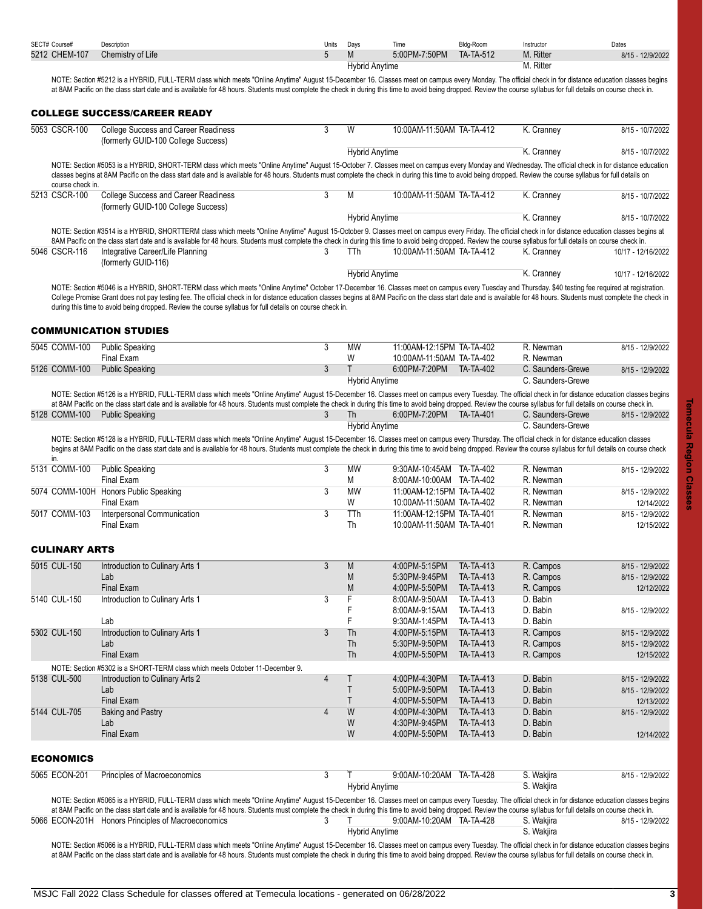<span id="page-2-3"></span><span id="page-2-2"></span><span id="page-2-1"></span><span id="page-2-0"></span>

| 5212 CHEM-107<br>5<br>M<br>5:00PM-7:50PM<br><b>TA-TA-512</b><br>M. Ritter<br>8/15 - 12/9/2022<br>M. Ritter<br><b>Hybrid Anytime</b><br>NOTE: Section #5212 is a HYBRID, FULL-TERM class which meets "Online Anytime" August 15-December 16. Classes meet on campus every Monday. The official check in for distance education classes begins<br>at 8AM Pacific on the class start date and is available for 48 hours. Students must complete the check in during this time to avoid being dropped. Review the course syllabus for full details on course check in.<br><b>COLLEGE SUCCESS/CAREER READY</b><br>5053 CSCR-100<br>College Success and Career Readiness<br>3<br>10:00AM-11:50AM TA-TA-412<br>W<br>K. Cranney<br>8/15 - 10/7/2022<br>(formerly GUID-100 College Success)<br>K. Cranney<br><b>Hybrid Anytime</b><br>8/15 - 10/7/2022<br>NOTE: Section #5053 is a HYBRID, SHORT-TERM class which meets "Online Anytime" August 15-October 7. Classes meet on campus every Monday and Wednesday. The official check in for distance education<br>classes begins at 8AM Pacific on the class start date and is available for 48 hours. Students must complete the check in during this time to avoid being dropped. Review the course syllabus for full details on<br>course check in.<br>5213 CSCR-100<br><b>College Success and Career Readiness</b><br>3<br>М<br>10:00AM-11:50AM TA-TA-412<br>K. Cranney<br>8/15 - 10/7/2022<br>(formerly GUID-100 College Success)<br><b>Hybrid Anytime</b><br>K. Cranney<br>8/15 - 10/7/2022<br>NOTE: Section #3514 is a HYBRID, SHORTTERM class which meets "Online Anytime" August 15-October 9. Classes meet on campus every Friday. The official check in for distance education classes begins at<br>8AM Pacific on the class start date and is available for 48 hours. Students must complete the check in during this time to avoid being dropped. Review the course syllabus for full details on course check in.<br>5046 CSCR-116<br>Integrative Career/Life Planning<br>10:00AM-11:50AM TA-TA-412<br>K. Cranney<br>3<br>TTh<br>10/17 - 12/16/2022<br>(formerly GUID-116)<br>K. Cranney<br><b>Hybrid Anytime</b><br>10/17 - 12/16/2022<br>NOTE: Section #5046 is a HYBRID, SHORT-TERM class which meets "Online Anytime" October 17-December 16. Classes meet on campus every Tuesday and Thursday. \$40 testing fee required at registration.<br>College Promise Grant does not pay testing fee. The official check in for distance education classes begins at 8AM Pacific on the class start date and is available for 48 hours. Students must complete the check in<br>during this time to avoid being dropped. Review the course syllabus for full details on course check in.<br><b>COMMUNICATION STUDIES</b><br>3<br><b>MW</b><br>11:00AM-12:15PM TA-TA-402<br><b>Public Speaking</b><br>R. Newman<br>8/15 - 12/9/2022<br>Final Exam<br>W<br>10:00AM-11:50AM TA-TA-402<br>R. Newman<br>3<br>T<br>6:00PM-7:20PM<br>TA-TA-402<br>5126 COMM-100<br><b>Public Speaking</b><br>C. Saunders-Grewe<br>8/15 - 12/9/2022<br>C. Saunders-Grewe<br><b>Hybrid Anytime</b><br>NOTE: Section #5126 is a HYBRID, FULL-TERM class which meets "Online Anytime" August 15-December 16. Classes meet on campus every Tuesday. The official check in for distance education classes begins<br>at 8AM Pacific on the class start date and is available for 48 hours. Students must complete the check in during this time to avoid being dropped. Review the course syllabus for full details on course check in.<br>3<br>6.00PM-7:20PM<br><b>TA-TA-401</b><br>C. Saunders-Grewe<br><b>Public Speaking</b><br>Th<br>8/15 - 12/9/2022<br>C. Saunders-Grewe<br><b>Hybrid Anytime</b><br>NOTE: Section #5128 is a HYBRID, FULL-TERM class which meets "Online Anytime" August 15-December 16. Classes meet on campus every Thursday. The official check in for distance education classes<br>begins at 8AM Pacific on the class start date and is available for 48 hours. Students must complete the check in during this time to avoid being dropped. Review the course syllabus for full details on course check<br>in.<br>3<br><b>Public Speaking</b><br><b>MW</b><br>9:30AM-10:45AM TA-TA-402<br>R. Newman<br>8/15 - 12/9/2022<br>Final Exam<br>М<br>8:00AM-10:00AM TA-TA-402<br>R. Newman<br>5074 COMM-100H Honors Public Speaking<br>3<br><b>MW</b><br>11:00AM-12:15PM TA-TA-402<br>R. Newman<br>8/15 - 12/9/2022<br>W<br>Final Exam<br>10:00AM-11:50AM TA-TA-402<br>R. Newman<br>12/14/2022<br>3<br>5017 COMM-103<br>Interpersonal Communication<br>TTh<br>11:00AM-12:15PM TA-TA-401<br>R. Newman<br>8/15 - 12/9/2022<br>Final Exam<br>Th<br>10:00AM-11:50AM TA-TA-401<br>R. Newman<br>12/15/2022<br><b>CULINARY ARTS</b><br>5015 CUL-150<br>3<br>TA-TA-413<br>Introduction to Culinary Arts 1<br>M<br>4:00PM-5:15PM<br>R. Campos<br>8/15 - 12/9/2022<br>R. Campos<br>M<br>TA-TA-413<br>Lab<br>5:30PM-9.45PM<br>8/15 - 12/9/2022<br><b>Final Exam</b><br>M<br>TA-TA-413<br>4:00PM-5:50PM<br>R. Campos<br>12/12/2022<br>F<br>3<br>5140 CUL-150<br>Introduction to Culinary Arts 1<br>8:00AM-9:50AM<br>TA-TA-413<br>D. Babin<br>F<br>TA-TA-413<br>D. Babin<br>8:00AM-9:15AM<br>8/15 - 12/9/2022<br>F<br>TA-TA-413<br>D. Babin<br>Lab<br>9:30AM-1:45PM<br>5302 CUL-150<br>Introduction to Culinary Arts 1<br>3<br>Th<br>TA-TA-413<br>4:00PM-5:15PM<br>R. Campos<br>8/15 - 12/9/2022<br>Th<br>TA-TA-413<br>5:30PM-9.50PM<br>R. Campos<br>Lab<br>8/15 - 12/9/2022<br>Th<br>TA-TA-413<br>Final Exam<br>4:00PM-5:50PM<br>R. Campos<br>12/15/2022<br>NOTE: Section #5302 is a SHORT-TERM class which meets October 11-December 9.<br>$\overline{4}$<br>5138 CUL-500<br>Τ<br>4:00PM-4:30PM<br>TA-TA-413<br>D. Babin<br>Introduction to Culinary Arts 2<br>8/15 - 12/9/2022<br>$\mathsf T$<br>5:00PM-9:50PM<br>TA-TA-413<br>D. Babin<br>Lab<br>8/15 - 12/9/2022<br>Τ<br><b>Final Exam</b><br>TA-TA-413<br>D. Babin<br>4:00PM-5:50PM<br>12/13/2022<br>W<br>5144 CUL-705<br>$\overline{4}$<br>4:00PM-4:30PM<br>TA-TA-413<br>D. Babin<br><b>Baking and Pastry</b><br>8/15 - 12/9/2022<br>W<br>4:30PM-9:45PM<br>TA-TA-413<br>D. Babin<br>Lab<br>W<br>Final Exam<br>TA-TA-413<br>D. Babin<br>4:00PM-5:50PM<br>12/14/2022<br>5065 ECON-201<br>Principles of Macroeconomics<br>3<br>$\mathsf{T}$<br>9:00AM-10:20AM TA-TA-428<br>S. Wakjira<br>8/15 - 12/9/2022<br><b>Hybrid Anytime</b><br>S. Wakjira<br>NOTE: Section #5065 is a HYBRID, FULL-TERM class which meets "Online Anytime" August 15-December 16. Classes meet on campus every Tuesday. The official check in for distance education classes begins<br>at 8AM Pacific on the class start date and is available for 48 hours. Students must complete the check in during this time to avoid being dropped. Review the course syllabus for full details on course check in.<br>5066 ECON-201H Honors Principles of Macroeconomics<br>3<br>9.00AM-10:20AM TA-TA-428<br>S. Wakjira<br>т<br>8/15 - 12/9/2022<br>S. Wakjira<br><b>Hybrid Anytime</b><br>NOTE: Section #5066 is a HYBRID, FULL-TERM class which meets "Online Anytime" August 15-December 16, Classes meet on campus every Tuesday. The official check in for distance education classes begins | SECT# Course#    | Description       | Units | Days | Time | Bldg-Room | Instructor | Dates |
|------------------------------------------------------------------------------------------------------------------------------------------------------------------------------------------------------------------------------------------------------------------------------------------------------------------------------------------------------------------------------------------------------------------------------------------------------------------------------------------------------------------------------------------------------------------------------------------------------------------------------------------------------------------------------------------------------------------------------------------------------------------------------------------------------------------------------------------------------------------------------------------------------------------------------------------------------------------------------------------------------------------------------------------------------------------------------------------------------------------------------------------------------------------------------------------------------------------------------------------------------------------------------------------------------------------------------------------------------------------------------------------------------------------------------------------------------------------------------------------------------------------------------------------------------------------------------------------------------------------------------------------------------------------------------------------------------------------------------------------------------------------------------------------------------------------------------------------------------------------------------------------------------------------------------------------------------------------------------------------------------------------------------------------------------------------------------------------------------------------------------------------------------------------------------------------------------------------------------------------------------------------------------------------------------------------------------------------------------------------------------------------------------------------------------------------------------------------------------------------------------------------------------------------------------------------------------------------------------------------------------------------------------------------------------------------------------------------------------------------------------------------------------------------------------------------------------------------------------------------------------------------------------------------------------------------------------------------------------------------------------------------------------------------------------------------------------------------------------------------------------------------------------------------------------------------------------------------------------------------------------------------------------------------------------------------------------------------------------------------------------------------------------------------------------------------------------------------------------------------------------------------------------------------------------------------------------------------------------------------------------------------------------------------------------------------------------------------------------------------------------------------------------------------------------------------------------------------------------------------------------------------------------------------------------------------------------------------------------------------------------------------------------------------------------------------------------------------------------------------------------------------------------------------------------------------------------------------------------------------------------------------------------------------------------------------------------------------------------------------------------------------------------------------------------------------------------------------------------------------------------------------------------------------------------------------------------------------------------------------------------------------------------------------------------------------------------------------------------------------------------------------------------------------------------------------------------------------------------------------------------------------------------------------------------------------------------------------------------------------------------------------------------------------------------------------------------------------------------------------------------------------------------------------------------------------------------------------------------------------------------------------------------------------------------------------------------------------------------------------------------------------------------------------------------------------------------------------------------------------------------------------------------------------------------------------------------------------------------------------------------------------------------------------------------------------------------------------------------------------------------------------------------------------------------------------------------------------------------------------------------------------------------------------------------------------------------------------------------------------------------------------------------------------------------------------------------------------------------------------------------------------------------------------------------------------------------------------------------------------------------------------------------------------------------------------------------------------------------------------------------------------------------------------------------------------------------------------------------------------------------------------------------------------------------------------------------------------------------------------------------------------------------------------------------------------------------------------------------------------------------------------------------------------------------------------------------------------------------------------------------------------------------------------------------------------------------------------------------------------------------------------------------------------------------------------------------------------------------------------------------------------------------------------------------------------------------------------------------------------------|------------------|-------------------|-------|------|------|-----------|------------|-------|
|                                                                                                                                                                                                                                                                                                                                                                                                                                                                                                                                                                                                                                                                                                                                                                                                                                                                                                                                                                                                                                                                                                                                                                                                                                                                                                                                                                                                                                                                                                                                                                                                                                                                                                                                                                                                                                                                                                                                                                                                                                                                                                                                                                                                                                                                                                                                                                                                                                                                                                                                                                                                                                                                                                                                                                                                                                                                                                                                                                                                                                                                                                                                                                                                                                                                                                                                                                                                                                                                                                                                                                                                                                                                                                                                                                                                                                                                                                                                                                                                                                                                                                                                                                                                                                                                                                                                                                                                                                                                                                                                                                                                                                                                                                                                                                                                                                                                                                                                                                                                                                                                                                                                                                                                                                                                                                                                                                                                                                                                                                                                                                                                                                                                                                                                                                                                                                                                                                                                                                                                                                                                                                                                                                                                                                                                                                                                                                                                                                                                                                                                                                                                                                                                                                                                                                                                                                                                                                                                                                                                                                                                                                                                                                                                                                                |                  | Chemistry of Life |       |      |      |           |            |       |
|                                                                                                                                                                                                                                                                                                                                                                                                                                                                                                                                                                                                                                                                                                                                                                                                                                                                                                                                                                                                                                                                                                                                                                                                                                                                                                                                                                                                                                                                                                                                                                                                                                                                                                                                                                                                                                                                                                                                                                                                                                                                                                                                                                                                                                                                                                                                                                                                                                                                                                                                                                                                                                                                                                                                                                                                                                                                                                                                                                                                                                                                                                                                                                                                                                                                                                                                                                                                                                                                                                                                                                                                                                                                                                                                                                                                                                                                                                                                                                                                                                                                                                                                                                                                                                                                                                                                                                                                                                                                                                                                                                                                                                                                                                                                                                                                                                                                                                                                                                                                                                                                                                                                                                                                                                                                                                                                                                                                                                                                                                                                                                                                                                                                                                                                                                                                                                                                                                                                                                                                                                                                                                                                                                                                                                                                                                                                                                                                                                                                                                                                                                                                                                                                                                                                                                                                                                                                                                                                                                                                                                                                                                                                                                                                                                                |                  |                   |       |      |      |           |            |       |
|                                                                                                                                                                                                                                                                                                                                                                                                                                                                                                                                                                                                                                                                                                                                                                                                                                                                                                                                                                                                                                                                                                                                                                                                                                                                                                                                                                                                                                                                                                                                                                                                                                                                                                                                                                                                                                                                                                                                                                                                                                                                                                                                                                                                                                                                                                                                                                                                                                                                                                                                                                                                                                                                                                                                                                                                                                                                                                                                                                                                                                                                                                                                                                                                                                                                                                                                                                                                                                                                                                                                                                                                                                                                                                                                                                                                                                                                                                                                                                                                                                                                                                                                                                                                                                                                                                                                                                                                                                                                                                                                                                                                                                                                                                                                                                                                                                                                                                                                                                                                                                                                                                                                                                                                                                                                                                                                                                                                                                                                                                                                                                                                                                                                                                                                                                                                                                                                                                                                                                                                                                                                                                                                                                                                                                                                                                                                                                                                                                                                                                                                                                                                                                                                                                                                                                                                                                                                                                                                                                                                                                                                                                                                                                                                                                                |                  |                   |       |      |      |           |            |       |
|                                                                                                                                                                                                                                                                                                                                                                                                                                                                                                                                                                                                                                                                                                                                                                                                                                                                                                                                                                                                                                                                                                                                                                                                                                                                                                                                                                                                                                                                                                                                                                                                                                                                                                                                                                                                                                                                                                                                                                                                                                                                                                                                                                                                                                                                                                                                                                                                                                                                                                                                                                                                                                                                                                                                                                                                                                                                                                                                                                                                                                                                                                                                                                                                                                                                                                                                                                                                                                                                                                                                                                                                                                                                                                                                                                                                                                                                                                                                                                                                                                                                                                                                                                                                                                                                                                                                                                                                                                                                                                                                                                                                                                                                                                                                                                                                                                                                                                                                                                                                                                                                                                                                                                                                                                                                                                                                                                                                                                                                                                                                                                                                                                                                                                                                                                                                                                                                                                                                                                                                                                                                                                                                                                                                                                                                                                                                                                                                                                                                                                                                                                                                                                                                                                                                                                                                                                                                                                                                                                                                                                                                                                                                                                                                                                                |                  |                   |       |      |      |           |            |       |
|                                                                                                                                                                                                                                                                                                                                                                                                                                                                                                                                                                                                                                                                                                                                                                                                                                                                                                                                                                                                                                                                                                                                                                                                                                                                                                                                                                                                                                                                                                                                                                                                                                                                                                                                                                                                                                                                                                                                                                                                                                                                                                                                                                                                                                                                                                                                                                                                                                                                                                                                                                                                                                                                                                                                                                                                                                                                                                                                                                                                                                                                                                                                                                                                                                                                                                                                                                                                                                                                                                                                                                                                                                                                                                                                                                                                                                                                                                                                                                                                                                                                                                                                                                                                                                                                                                                                                                                                                                                                                                                                                                                                                                                                                                                                                                                                                                                                                                                                                                                                                                                                                                                                                                                                                                                                                                                                                                                                                                                                                                                                                                                                                                                                                                                                                                                                                                                                                                                                                                                                                                                                                                                                                                                                                                                                                                                                                                                                                                                                                                                                                                                                                                                                                                                                                                                                                                                                                                                                                                                                                                                                                                                                                                                                                                                |                  |                   |       |      |      |           |            |       |
|                                                                                                                                                                                                                                                                                                                                                                                                                                                                                                                                                                                                                                                                                                                                                                                                                                                                                                                                                                                                                                                                                                                                                                                                                                                                                                                                                                                                                                                                                                                                                                                                                                                                                                                                                                                                                                                                                                                                                                                                                                                                                                                                                                                                                                                                                                                                                                                                                                                                                                                                                                                                                                                                                                                                                                                                                                                                                                                                                                                                                                                                                                                                                                                                                                                                                                                                                                                                                                                                                                                                                                                                                                                                                                                                                                                                                                                                                                                                                                                                                                                                                                                                                                                                                                                                                                                                                                                                                                                                                                                                                                                                                                                                                                                                                                                                                                                                                                                                                                                                                                                                                                                                                                                                                                                                                                                                                                                                                                                                                                                                                                                                                                                                                                                                                                                                                                                                                                                                                                                                                                                                                                                                                                                                                                                                                                                                                                                                                                                                                                                                                                                                                                                                                                                                                                                                                                                                                                                                                                                                                                                                                                                                                                                                                                                |                  |                   |       |      |      |           |            |       |
|                                                                                                                                                                                                                                                                                                                                                                                                                                                                                                                                                                                                                                                                                                                                                                                                                                                                                                                                                                                                                                                                                                                                                                                                                                                                                                                                                                                                                                                                                                                                                                                                                                                                                                                                                                                                                                                                                                                                                                                                                                                                                                                                                                                                                                                                                                                                                                                                                                                                                                                                                                                                                                                                                                                                                                                                                                                                                                                                                                                                                                                                                                                                                                                                                                                                                                                                                                                                                                                                                                                                                                                                                                                                                                                                                                                                                                                                                                                                                                                                                                                                                                                                                                                                                                                                                                                                                                                                                                                                                                                                                                                                                                                                                                                                                                                                                                                                                                                                                                                                                                                                                                                                                                                                                                                                                                                                                                                                                                                                                                                                                                                                                                                                                                                                                                                                                                                                                                                                                                                                                                                                                                                                                                                                                                                                                                                                                                                                                                                                                                                                                                                                                                                                                                                                                                                                                                                                                                                                                                                                                                                                                                                                                                                                                                                |                  |                   |       |      |      |           |            |       |
|                                                                                                                                                                                                                                                                                                                                                                                                                                                                                                                                                                                                                                                                                                                                                                                                                                                                                                                                                                                                                                                                                                                                                                                                                                                                                                                                                                                                                                                                                                                                                                                                                                                                                                                                                                                                                                                                                                                                                                                                                                                                                                                                                                                                                                                                                                                                                                                                                                                                                                                                                                                                                                                                                                                                                                                                                                                                                                                                                                                                                                                                                                                                                                                                                                                                                                                                                                                                                                                                                                                                                                                                                                                                                                                                                                                                                                                                                                                                                                                                                                                                                                                                                                                                                                                                                                                                                                                                                                                                                                                                                                                                                                                                                                                                                                                                                                                                                                                                                                                                                                                                                                                                                                                                                                                                                                                                                                                                                                                                                                                                                                                                                                                                                                                                                                                                                                                                                                                                                                                                                                                                                                                                                                                                                                                                                                                                                                                                                                                                                                                                                                                                                                                                                                                                                                                                                                                                                                                                                                                                                                                                                                                                                                                                                                                |                  |                   |       |      |      |           |            |       |
|                                                                                                                                                                                                                                                                                                                                                                                                                                                                                                                                                                                                                                                                                                                                                                                                                                                                                                                                                                                                                                                                                                                                                                                                                                                                                                                                                                                                                                                                                                                                                                                                                                                                                                                                                                                                                                                                                                                                                                                                                                                                                                                                                                                                                                                                                                                                                                                                                                                                                                                                                                                                                                                                                                                                                                                                                                                                                                                                                                                                                                                                                                                                                                                                                                                                                                                                                                                                                                                                                                                                                                                                                                                                                                                                                                                                                                                                                                                                                                                                                                                                                                                                                                                                                                                                                                                                                                                                                                                                                                                                                                                                                                                                                                                                                                                                                                                                                                                                                                                                                                                                                                                                                                                                                                                                                                                                                                                                                                                                                                                                                                                                                                                                                                                                                                                                                                                                                                                                                                                                                                                                                                                                                                                                                                                                                                                                                                                                                                                                                                                                                                                                                                                                                                                                                                                                                                                                                                                                                                                                                                                                                                                                                                                                                                                |                  |                   |       |      |      |           |            |       |
|                                                                                                                                                                                                                                                                                                                                                                                                                                                                                                                                                                                                                                                                                                                                                                                                                                                                                                                                                                                                                                                                                                                                                                                                                                                                                                                                                                                                                                                                                                                                                                                                                                                                                                                                                                                                                                                                                                                                                                                                                                                                                                                                                                                                                                                                                                                                                                                                                                                                                                                                                                                                                                                                                                                                                                                                                                                                                                                                                                                                                                                                                                                                                                                                                                                                                                                                                                                                                                                                                                                                                                                                                                                                                                                                                                                                                                                                                                                                                                                                                                                                                                                                                                                                                                                                                                                                                                                                                                                                                                                                                                                                                                                                                                                                                                                                                                                                                                                                                                                                                                                                                                                                                                                                                                                                                                                                                                                                                                                                                                                                                                                                                                                                                                                                                                                                                                                                                                                                                                                                                                                                                                                                                                                                                                                                                                                                                                                                                                                                                                                                                                                                                                                                                                                                                                                                                                                                                                                                                                                                                                                                                                                                                                                                                                                |                  |                   |       |      |      |           |            |       |
|                                                                                                                                                                                                                                                                                                                                                                                                                                                                                                                                                                                                                                                                                                                                                                                                                                                                                                                                                                                                                                                                                                                                                                                                                                                                                                                                                                                                                                                                                                                                                                                                                                                                                                                                                                                                                                                                                                                                                                                                                                                                                                                                                                                                                                                                                                                                                                                                                                                                                                                                                                                                                                                                                                                                                                                                                                                                                                                                                                                                                                                                                                                                                                                                                                                                                                                                                                                                                                                                                                                                                                                                                                                                                                                                                                                                                                                                                                                                                                                                                                                                                                                                                                                                                                                                                                                                                                                                                                                                                                                                                                                                                                                                                                                                                                                                                                                                                                                                                                                                                                                                                                                                                                                                                                                                                                                                                                                                                                                                                                                                                                                                                                                                                                                                                                                                                                                                                                                                                                                                                                                                                                                                                                                                                                                                                                                                                                                                                                                                                                                                                                                                                                                                                                                                                                                                                                                                                                                                                                                                                                                                                                                                                                                                                                                |                  |                   |       |      |      |           |            |       |
|                                                                                                                                                                                                                                                                                                                                                                                                                                                                                                                                                                                                                                                                                                                                                                                                                                                                                                                                                                                                                                                                                                                                                                                                                                                                                                                                                                                                                                                                                                                                                                                                                                                                                                                                                                                                                                                                                                                                                                                                                                                                                                                                                                                                                                                                                                                                                                                                                                                                                                                                                                                                                                                                                                                                                                                                                                                                                                                                                                                                                                                                                                                                                                                                                                                                                                                                                                                                                                                                                                                                                                                                                                                                                                                                                                                                                                                                                                                                                                                                                                                                                                                                                                                                                                                                                                                                                                                                                                                                                                                                                                                                                                                                                                                                                                                                                                                                                                                                                                                                                                                                                                                                                                                                                                                                                                                                                                                                                                                                                                                                                                                                                                                                                                                                                                                                                                                                                                                                                                                                                                                                                                                                                                                                                                                                                                                                                                                                                                                                                                                                                                                                                                                                                                                                                                                                                                                                                                                                                                                                                                                                                                                                                                                                                                                |                  |                   |       |      |      |           |            |       |
|                                                                                                                                                                                                                                                                                                                                                                                                                                                                                                                                                                                                                                                                                                                                                                                                                                                                                                                                                                                                                                                                                                                                                                                                                                                                                                                                                                                                                                                                                                                                                                                                                                                                                                                                                                                                                                                                                                                                                                                                                                                                                                                                                                                                                                                                                                                                                                                                                                                                                                                                                                                                                                                                                                                                                                                                                                                                                                                                                                                                                                                                                                                                                                                                                                                                                                                                                                                                                                                                                                                                                                                                                                                                                                                                                                                                                                                                                                                                                                                                                                                                                                                                                                                                                                                                                                                                                                                                                                                                                                                                                                                                                                                                                                                                                                                                                                                                                                                                                                                                                                                                                                                                                                                                                                                                                                                                                                                                                                                                                                                                                                                                                                                                                                                                                                                                                                                                                                                                                                                                                                                                                                                                                                                                                                                                                                                                                                                                                                                                                                                                                                                                                                                                                                                                                                                                                                                                                                                                                                                                                                                                                                                                                                                                                                                |                  |                   |       |      |      |           |            |       |
|                                                                                                                                                                                                                                                                                                                                                                                                                                                                                                                                                                                                                                                                                                                                                                                                                                                                                                                                                                                                                                                                                                                                                                                                                                                                                                                                                                                                                                                                                                                                                                                                                                                                                                                                                                                                                                                                                                                                                                                                                                                                                                                                                                                                                                                                                                                                                                                                                                                                                                                                                                                                                                                                                                                                                                                                                                                                                                                                                                                                                                                                                                                                                                                                                                                                                                                                                                                                                                                                                                                                                                                                                                                                                                                                                                                                                                                                                                                                                                                                                                                                                                                                                                                                                                                                                                                                                                                                                                                                                                                                                                                                                                                                                                                                                                                                                                                                                                                                                                                                                                                                                                                                                                                                                                                                                                                                                                                                                                                                                                                                                                                                                                                                                                                                                                                                                                                                                                                                                                                                                                                                                                                                                                                                                                                                                                                                                                                                                                                                                                                                                                                                                                                                                                                                                                                                                                                                                                                                                                                                                                                                                                                                                                                                                                                |                  |                   |       |      |      |           |            |       |
|                                                                                                                                                                                                                                                                                                                                                                                                                                                                                                                                                                                                                                                                                                                                                                                                                                                                                                                                                                                                                                                                                                                                                                                                                                                                                                                                                                                                                                                                                                                                                                                                                                                                                                                                                                                                                                                                                                                                                                                                                                                                                                                                                                                                                                                                                                                                                                                                                                                                                                                                                                                                                                                                                                                                                                                                                                                                                                                                                                                                                                                                                                                                                                                                                                                                                                                                                                                                                                                                                                                                                                                                                                                                                                                                                                                                                                                                                                                                                                                                                                                                                                                                                                                                                                                                                                                                                                                                                                                                                                                                                                                                                                                                                                                                                                                                                                                                                                                                                                                                                                                                                                                                                                                                                                                                                                                                                                                                                                                                                                                                                                                                                                                                                                                                                                                                                                                                                                                                                                                                                                                                                                                                                                                                                                                                                                                                                                                                                                                                                                                                                                                                                                                                                                                                                                                                                                                                                                                                                                                                                                                                                                                                                                                                                                                |                  |                   |       |      |      |           |            |       |
|                                                                                                                                                                                                                                                                                                                                                                                                                                                                                                                                                                                                                                                                                                                                                                                                                                                                                                                                                                                                                                                                                                                                                                                                                                                                                                                                                                                                                                                                                                                                                                                                                                                                                                                                                                                                                                                                                                                                                                                                                                                                                                                                                                                                                                                                                                                                                                                                                                                                                                                                                                                                                                                                                                                                                                                                                                                                                                                                                                                                                                                                                                                                                                                                                                                                                                                                                                                                                                                                                                                                                                                                                                                                                                                                                                                                                                                                                                                                                                                                                                                                                                                                                                                                                                                                                                                                                                                                                                                                                                                                                                                                                                                                                                                                                                                                                                                                                                                                                                                                                                                                                                                                                                                                                                                                                                                                                                                                                                                                                                                                                                                                                                                                                                                                                                                                                                                                                                                                                                                                                                                                                                                                                                                                                                                                                                                                                                                                                                                                                                                                                                                                                                                                                                                                                                                                                                                                                                                                                                                                                                                                                                                                                                                                                                                |                  |                   |       |      |      |           |            |       |
|                                                                                                                                                                                                                                                                                                                                                                                                                                                                                                                                                                                                                                                                                                                                                                                                                                                                                                                                                                                                                                                                                                                                                                                                                                                                                                                                                                                                                                                                                                                                                                                                                                                                                                                                                                                                                                                                                                                                                                                                                                                                                                                                                                                                                                                                                                                                                                                                                                                                                                                                                                                                                                                                                                                                                                                                                                                                                                                                                                                                                                                                                                                                                                                                                                                                                                                                                                                                                                                                                                                                                                                                                                                                                                                                                                                                                                                                                                                                                                                                                                                                                                                                                                                                                                                                                                                                                                                                                                                                                                                                                                                                                                                                                                                                                                                                                                                                                                                                                                                                                                                                                                                                                                                                                                                                                                                                                                                                                                                                                                                                                                                                                                                                                                                                                                                                                                                                                                                                                                                                                                                                                                                                                                                                                                                                                                                                                                                                                                                                                                                                                                                                                                                                                                                                                                                                                                                                                                                                                                                                                                                                                                                                                                                                                                                |                  |                   |       |      |      |           |            |       |
|                                                                                                                                                                                                                                                                                                                                                                                                                                                                                                                                                                                                                                                                                                                                                                                                                                                                                                                                                                                                                                                                                                                                                                                                                                                                                                                                                                                                                                                                                                                                                                                                                                                                                                                                                                                                                                                                                                                                                                                                                                                                                                                                                                                                                                                                                                                                                                                                                                                                                                                                                                                                                                                                                                                                                                                                                                                                                                                                                                                                                                                                                                                                                                                                                                                                                                                                                                                                                                                                                                                                                                                                                                                                                                                                                                                                                                                                                                                                                                                                                                                                                                                                                                                                                                                                                                                                                                                                                                                                                                                                                                                                                                                                                                                                                                                                                                                                                                                                                                                                                                                                                                                                                                                                                                                                                                                                                                                                                                                                                                                                                                                                                                                                                                                                                                                                                                                                                                                                                                                                                                                                                                                                                                                                                                                                                                                                                                                                                                                                                                                                                                                                                                                                                                                                                                                                                                                                                                                                                                                                                                                                                                                                                                                                                                                |                  |                   |       |      |      |           |            |       |
|                                                                                                                                                                                                                                                                                                                                                                                                                                                                                                                                                                                                                                                                                                                                                                                                                                                                                                                                                                                                                                                                                                                                                                                                                                                                                                                                                                                                                                                                                                                                                                                                                                                                                                                                                                                                                                                                                                                                                                                                                                                                                                                                                                                                                                                                                                                                                                                                                                                                                                                                                                                                                                                                                                                                                                                                                                                                                                                                                                                                                                                                                                                                                                                                                                                                                                                                                                                                                                                                                                                                                                                                                                                                                                                                                                                                                                                                                                                                                                                                                                                                                                                                                                                                                                                                                                                                                                                                                                                                                                                                                                                                                                                                                                                                                                                                                                                                                                                                                                                                                                                                                                                                                                                                                                                                                                                                                                                                                                                                                                                                                                                                                                                                                                                                                                                                                                                                                                                                                                                                                                                                                                                                                                                                                                                                                                                                                                                                                                                                                                                                                                                                                                                                                                                                                                                                                                                                                                                                                                                                                                                                                                                                                                                                                                                |                  |                   |       |      |      |           |            |       |
|                                                                                                                                                                                                                                                                                                                                                                                                                                                                                                                                                                                                                                                                                                                                                                                                                                                                                                                                                                                                                                                                                                                                                                                                                                                                                                                                                                                                                                                                                                                                                                                                                                                                                                                                                                                                                                                                                                                                                                                                                                                                                                                                                                                                                                                                                                                                                                                                                                                                                                                                                                                                                                                                                                                                                                                                                                                                                                                                                                                                                                                                                                                                                                                                                                                                                                                                                                                                                                                                                                                                                                                                                                                                                                                                                                                                                                                                                                                                                                                                                                                                                                                                                                                                                                                                                                                                                                                                                                                                                                                                                                                                                                                                                                                                                                                                                                                                                                                                                                                                                                                                                                                                                                                                                                                                                                                                                                                                                                                                                                                                                                                                                                                                                                                                                                                                                                                                                                                                                                                                                                                                                                                                                                                                                                                                                                                                                                                                                                                                                                                                                                                                                                                                                                                                                                                                                                                                                                                                                                                                                                                                                                                                                                                                                                                |                  |                   |       |      |      |           |            |       |
|                                                                                                                                                                                                                                                                                                                                                                                                                                                                                                                                                                                                                                                                                                                                                                                                                                                                                                                                                                                                                                                                                                                                                                                                                                                                                                                                                                                                                                                                                                                                                                                                                                                                                                                                                                                                                                                                                                                                                                                                                                                                                                                                                                                                                                                                                                                                                                                                                                                                                                                                                                                                                                                                                                                                                                                                                                                                                                                                                                                                                                                                                                                                                                                                                                                                                                                                                                                                                                                                                                                                                                                                                                                                                                                                                                                                                                                                                                                                                                                                                                                                                                                                                                                                                                                                                                                                                                                                                                                                                                                                                                                                                                                                                                                                                                                                                                                                                                                                                                                                                                                                                                                                                                                                                                                                                                                                                                                                                                                                                                                                                                                                                                                                                                                                                                                                                                                                                                                                                                                                                                                                                                                                                                                                                                                                                                                                                                                                                                                                                                                                                                                                                                                                                                                                                                                                                                                                                                                                                                                                                                                                                                                                                                                                                                                |                  |                   |       |      |      |           |            |       |
|                                                                                                                                                                                                                                                                                                                                                                                                                                                                                                                                                                                                                                                                                                                                                                                                                                                                                                                                                                                                                                                                                                                                                                                                                                                                                                                                                                                                                                                                                                                                                                                                                                                                                                                                                                                                                                                                                                                                                                                                                                                                                                                                                                                                                                                                                                                                                                                                                                                                                                                                                                                                                                                                                                                                                                                                                                                                                                                                                                                                                                                                                                                                                                                                                                                                                                                                                                                                                                                                                                                                                                                                                                                                                                                                                                                                                                                                                                                                                                                                                                                                                                                                                                                                                                                                                                                                                                                                                                                                                                                                                                                                                                                                                                                                                                                                                                                                                                                                                                                                                                                                                                                                                                                                                                                                                                                                                                                                                                                                                                                                                                                                                                                                                                                                                                                                                                                                                                                                                                                                                                                                                                                                                                                                                                                                                                                                                                                                                                                                                                                                                                                                                                                                                                                                                                                                                                                                                                                                                                                                                                                                                                                                                                                                                                                |                  |                   |       |      |      |           |            |       |
|                                                                                                                                                                                                                                                                                                                                                                                                                                                                                                                                                                                                                                                                                                                                                                                                                                                                                                                                                                                                                                                                                                                                                                                                                                                                                                                                                                                                                                                                                                                                                                                                                                                                                                                                                                                                                                                                                                                                                                                                                                                                                                                                                                                                                                                                                                                                                                                                                                                                                                                                                                                                                                                                                                                                                                                                                                                                                                                                                                                                                                                                                                                                                                                                                                                                                                                                                                                                                                                                                                                                                                                                                                                                                                                                                                                                                                                                                                                                                                                                                                                                                                                                                                                                                                                                                                                                                                                                                                                                                                                                                                                                                                                                                                                                                                                                                                                                                                                                                                                                                                                                                                                                                                                                                                                                                                                                                                                                                                                                                                                                                                                                                                                                                                                                                                                                                                                                                                                                                                                                                                                                                                                                                                                                                                                                                                                                                                                                                                                                                                                                                                                                                                                                                                                                                                                                                                                                                                                                                                                                                                                                                                                                                                                                                                                | 5045 COMM-100    |                   |       |      |      |           |            |       |
|                                                                                                                                                                                                                                                                                                                                                                                                                                                                                                                                                                                                                                                                                                                                                                                                                                                                                                                                                                                                                                                                                                                                                                                                                                                                                                                                                                                                                                                                                                                                                                                                                                                                                                                                                                                                                                                                                                                                                                                                                                                                                                                                                                                                                                                                                                                                                                                                                                                                                                                                                                                                                                                                                                                                                                                                                                                                                                                                                                                                                                                                                                                                                                                                                                                                                                                                                                                                                                                                                                                                                                                                                                                                                                                                                                                                                                                                                                                                                                                                                                                                                                                                                                                                                                                                                                                                                                                                                                                                                                                                                                                                                                                                                                                                                                                                                                                                                                                                                                                                                                                                                                                                                                                                                                                                                                                                                                                                                                                                                                                                                                                                                                                                                                                                                                                                                                                                                                                                                                                                                                                                                                                                                                                                                                                                                                                                                                                                                                                                                                                                                                                                                                                                                                                                                                                                                                                                                                                                                                                                                                                                                                                                                                                                                                                |                  |                   |       |      |      |           |            |       |
|                                                                                                                                                                                                                                                                                                                                                                                                                                                                                                                                                                                                                                                                                                                                                                                                                                                                                                                                                                                                                                                                                                                                                                                                                                                                                                                                                                                                                                                                                                                                                                                                                                                                                                                                                                                                                                                                                                                                                                                                                                                                                                                                                                                                                                                                                                                                                                                                                                                                                                                                                                                                                                                                                                                                                                                                                                                                                                                                                                                                                                                                                                                                                                                                                                                                                                                                                                                                                                                                                                                                                                                                                                                                                                                                                                                                                                                                                                                                                                                                                                                                                                                                                                                                                                                                                                                                                                                                                                                                                                                                                                                                                                                                                                                                                                                                                                                                                                                                                                                                                                                                                                                                                                                                                                                                                                                                                                                                                                                                                                                                                                                                                                                                                                                                                                                                                                                                                                                                                                                                                                                                                                                                                                                                                                                                                                                                                                                                                                                                                                                                                                                                                                                                                                                                                                                                                                                                                                                                                                                                                                                                                                                                                                                                                                                |                  |                   |       |      |      |           |            |       |
|                                                                                                                                                                                                                                                                                                                                                                                                                                                                                                                                                                                                                                                                                                                                                                                                                                                                                                                                                                                                                                                                                                                                                                                                                                                                                                                                                                                                                                                                                                                                                                                                                                                                                                                                                                                                                                                                                                                                                                                                                                                                                                                                                                                                                                                                                                                                                                                                                                                                                                                                                                                                                                                                                                                                                                                                                                                                                                                                                                                                                                                                                                                                                                                                                                                                                                                                                                                                                                                                                                                                                                                                                                                                                                                                                                                                                                                                                                                                                                                                                                                                                                                                                                                                                                                                                                                                                                                                                                                                                                                                                                                                                                                                                                                                                                                                                                                                                                                                                                                                                                                                                                                                                                                                                                                                                                                                                                                                                                                                                                                                                                                                                                                                                                                                                                                                                                                                                                                                                                                                                                                                                                                                                                                                                                                                                                                                                                                                                                                                                                                                                                                                                                                                                                                                                                                                                                                                                                                                                                                                                                                                                                                                                                                                                                                |                  |                   |       |      |      |           |            |       |
|                                                                                                                                                                                                                                                                                                                                                                                                                                                                                                                                                                                                                                                                                                                                                                                                                                                                                                                                                                                                                                                                                                                                                                                                                                                                                                                                                                                                                                                                                                                                                                                                                                                                                                                                                                                                                                                                                                                                                                                                                                                                                                                                                                                                                                                                                                                                                                                                                                                                                                                                                                                                                                                                                                                                                                                                                                                                                                                                                                                                                                                                                                                                                                                                                                                                                                                                                                                                                                                                                                                                                                                                                                                                                                                                                                                                                                                                                                                                                                                                                                                                                                                                                                                                                                                                                                                                                                                                                                                                                                                                                                                                                                                                                                                                                                                                                                                                                                                                                                                                                                                                                                                                                                                                                                                                                                                                                                                                                                                                                                                                                                                                                                                                                                                                                                                                                                                                                                                                                                                                                                                                                                                                                                                                                                                                                                                                                                                                                                                                                                                                                                                                                                                                                                                                                                                                                                                                                                                                                                                                                                                                                                                                                                                                                                                |                  |                   |       |      |      |           |            |       |
|                                                                                                                                                                                                                                                                                                                                                                                                                                                                                                                                                                                                                                                                                                                                                                                                                                                                                                                                                                                                                                                                                                                                                                                                                                                                                                                                                                                                                                                                                                                                                                                                                                                                                                                                                                                                                                                                                                                                                                                                                                                                                                                                                                                                                                                                                                                                                                                                                                                                                                                                                                                                                                                                                                                                                                                                                                                                                                                                                                                                                                                                                                                                                                                                                                                                                                                                                                                                                                                                                                                                                                                                                                                                                                                                                                                                                                                                                                                                                                                                                                                                                                                                                                                                                                                                                                                                                                                                                                                                                                                                                                                                                                                                                                                                                                                                                                                                                                                                                                                                                                                                                                                                                                                                                                                                                                                                                                                                                                                                                                                                                                                                                                                                                                                                                                                                                                                                                                                                                                                                                                                                                                                                                                                                                                                                                                                                                                                                                                                                                                                                                                                                                                                                                                                                                                                                                                                                                                                                                                                                                                                                                                                                                                                                                                                | 5128 COMM-100    |                   |       |      |      |           |            |       |
|                                                                                                                                                                                                                                                                                                                                                                                                                                                                                                                                                                                                                                                                                                                                                                                                                                                                                                                                                                                                                                                                                                                                                                                                                                                                                                                                                                                                                                                                                                                                                                                                                                                                                                                                                                                                                                                                                                                                                                                                                                                                                                                                                                                                                                                                                                                                                                                                                                                                                                                                                                                                                                                                                                                                                                                                                                                                                                                                                                                                                                                                                                                                                                                                                                                                                                                                                                                                                                                                                                                                                                                                                                                                                                                                                                                                                                                                                                                                                                                                                                                                                                                                                                                                                                                                                                                                                                                                                                                                                                                                                                                                                                                                                                                                                                                                                                                                                                                                                                                                                                                                                                                                                                                                                                                                                                                                                                                                                                                                                                                                                                                                                                                                                                                                                                                                                                                                                                                                                                                                                                                                                                                                                                                                                                                                                                                                                                                                                                                                                                                                                                                                                                                                                                                                                                                                                                                                                                                                                                                                                                                                                                                                                                                                                                                |                  |                   |       |      |      |           |            |       |
|                                                                                                                                                                                                                                                                                                                                                                                                                                                                                                                                                                                                                                                                                                                                                                                                                                                                                                                                                                                                                                                                                                                                                                                                                                                                                                                                                                                                                                                                                                                                                                                                                                                                                                                                                                                                                                                                                                                                                                                                                                                                                                                                                                                                                                                                                                                                                                                                                                                                                                                                                                                                                                                                                                                                                                                                                                                                                                                                                                                                                                                                                                                                                                                                                                                                                                                                                                                                                                                                                                                                                                                                                                                                                                                                                                                                                                                                                                                                                                                                                                                                                                                                                                                                                                                                                                                                                                                                                                                                                                                                                                                                                                                                                                                                                                                                                                                                                                                                                                                                                                                                                                                                                                                                                                                                                                                                                                                                                                                                                                                                                                                                                                                                                                                                                                                                                                                                                                                                                                                                                                                                                                                                                                                                                                                                                                                                                                                                                                                                                                                                                                                                                                                                                                                                                                                                                                                                                                                                                                                                                                                                                                                                                                                                                                                |                  |                   |       |      |      |           |            |       |
|                                                                                                                                                                                                                                                                                                                                                                                                                                                                                                                                                                                                                                                                                                                                                                                                                                                                                                                                                                                                                                                                                                                                                                                                                                                                                                                                                                                                                                                                                                                                                                                                                                                                                                                                                                                                                                                                                                                                                                                                                                                                                                                                                                                                                                                                                                                                                                                                                                                                                                                                                                                                                                                                                                                                                                                                                                                                                                                                                                                                                                                                                                                                                                                                                                                                                                                                                                                                                                                                                                                                                                                                                                                                                                                                                                                                                                                                                                                                                                                                                                                                                                                                                                                                                                                                                                                                                                                                                                                                                                                                                                                                                                                                                                                                                                                                                                                                                                                                                                                                                                                                                                                                                                                                                                                                                                                                                                                                                                                                                                                                                                                                                                                                                                                                                                                                                                                                                                                                                                                                                                                                                                                                                                                                                                                                                                                                                                                                                                                                                                                                                                                                                                                                                                                                                                                                                                                                                                                                                                                                                                                                                                                                                                                                                                                |                  |                   |       |      |      |           |            |       |
|                                                                                                                                                                                                                                                                                                                                                                                                                                                                                                                                                                                                                                                                                                                                                                                                                                                                                                                                                                                                                                                                                                                                                                                                                                                                                                                                                                                                                                                                                                                                                                                                                                                                                                                                                                                                                                                                                                                                                                                                                                                                                                                                                                                                                                                                                                                                                                                                                                                                                                                                                                                                                                                                                                                                                                                                                                                                                                                                                                                                                                                                                                                                                                                                                                                                                                                                                                                                                                                                                                                                                                                                                                                                                                                                                                                                                                                                                                                                                                                                                                                                                                                                                                                                                                                                                                                                                                                                                                                                                                                                                                                                                                                                                                                                                                                                                                                                                                                                                                                                                                                                                                                                                                                                                                                                                                                                                                                                                                                                                                                                                                                                                                                                                                                                                                                                                                                                                                                                                                                                                                                                                                                                                                                                                                                                                                                                                                                                                                                                                                                                                                                                                                                                                                                                                                                                                                                                                                                                                                                                                                                                                                                                                                                                                                                | 5131 COMM-100    |                   |       |      |      |           |            |       |
|                                                                                                                                                                                                                                                                                                                                                                                                                                                                                                                                                                                                                                                                                                                                                                                                                                                                                                                                                                                                                                                                                                                                                                                                                                                                                                                                                                                                                                                                                                                                                                                                                                                                                                                                                                                                                                                                                                                                                                                                                                                                                                                                                                                                                                                                                                                                                                                                                                                                                                                                                                                                                                                                                                                                                                                                                                                                                                                                                                                                                                                                                                                                                                                                                                                                                                                                                                                                                                                                                                                                                                                                                                                                                                                                                                                                                                                                                                                                                                                                                                                                                                                                                                                                                                                                                                                                                                                                                                                                                                                                                                                                                                                                                                                                                                                                                                                                                                                                                                                                                                                                                                                                                                                                                                                                                                                                                                                                                                                                                                                                                                                                                                                                                                                                                                                                                                                                                                                                                                                                                                                                                                                                                                                                                                                                                                                                                                                                                                                                                                                                                                                                                                                                                                                                                                                                                                                                                                                                                                                                                                                                                                                                                                                                                                                |                  |                   |       |      |      |           |            |       |
|                                                                                                                                                                                                                                                                                                                                                                                                                                                                                                                                                                                                                                                                                                                                                                                                                                                                                                                                                                                                                                                                                                                                                                                                                                                                                                                                                                                                                                                                                                                                                                                                                                                                                                                                                                                                                                                                                                                                                                                                                                                                                                                                                                                                                                                                                                                                                                                                                                                                                                                                                                                                                                                                                                                                                                                                                                                                                                                                                                                                                                                                                                                                                                                                                                                                                                                                                                                                                                                                                                                                                                                                                                                                                                                                                                                                                                                                                                                                                                                                                                                                                                                                                                                                                                                                                                                                                                                                                                                                                                                                                                                                                                                                                                                                                                                                                                                                                                                                                                                                                                                                                                                                                                                                                                                                                                                                                                                                                                                                                                                                                                                                                                                                                                                                                                                                                                                                                                                                                                                                                                                                                                                                                                                                                                                                                                                                                                                                                                                                                                                                                                                                                                                                                                                                                                                                                                                                                                                                                                                                                                                                                                                                                                                                                                                |                  |                   |       |      |      |           |            |       |
|                                                                                                                                                                                                                                                                                                                                                                                                                                                                                                                                                                                                                                                                                                                                                                                                                                                                                                                                                                                                                                                                                                                                                                                                                                                                                                                                                                                                                                                                                                                                                                                                                                                                                                                                                                                                                                                                                                                                                                                                                                                                                                                                                                                                                                                                                                                                                                                                                                                                                                                                                                                                                                                                                                                                                                                                                                                                                                                                                                                                                                                                                                                                                                                                                                                                                                                                                                                                                                                                                                                                                                                                                                                                                                                                                                                                                                                                                                                                                                                                                                                                                                                                                                                                                                                                                                                                                                                                                                                                                                                                                                                                                                                                                                                                                                                                                                                                                                                                                                                                                                                                                                                                                                                                                                                                                                                                                                                                                                                                                                                                                                                                                                                                                                                                                                                                                                                                                                                                                                                                                                                                                                                                                                                                                                                                                                                                                                                                                                                                                                                                                                                                                                                                                                                                                                                                                                                                                                                                                                                                                                                                                                                                                                                                                                                |                  |                   |       |      |      |           |            |       |
|                                                                                                                                                                                                                                                                                                                                                                                                                                                                                                                                                                                                                                                                                                                                                                                                                                                                                                                                                                                                                                                                                                                                                                                                                                                                                                                                                                                                                                                                                                                                                                                                                                                                                                                                                                                                                                                                                                                                                                                                                                                                                                                                                                                                                                                                                                                                                                                                                                                                                                                                                                                                                                                                                                                                                                                                                                                                                                                                                                                                                                                                                                                                                                                                                                                                                                                                                                                                                                                                                                                                                                                                                                                                                                                                                                                                                                                                                                                                                                                                                                                                                                                                                                                                                                                                                                                                                                                                                                                                                                                                                                                                                                                                                                                                                                                                                                                                                                                                                                                                                                                                                                                                                                                                                                                                                                                                                                                                                                                                                                                                                                                                                                                                                                                                                                                                                                                                                                                                                                                                                                                                                                                                                                                                                                                                                                                                                                                                                                                                                                                                                                                                                                                                                                                                                                                                                                                                                                                                                                                                                                                                                                                                                                                                                                                |                  |                   |       |      |      |           |            |       |
|                                                                                                                                                                                                                                                                                                                                                                                                                                                                                                                                                                                                                                                                                                                                                                                                                                                                                                                                                                                                                                                                                                                                                                                                                                                                                                                                                                                                                                                                                                                                                                                                                                                                                                                                                                                                                                                                                                                                                                                                                                                                                                                                                                                                                                                                                                                                                                                                                                                                                                                                                                                                                                                                                                                                                                                                                                                                                                                                                                                                                                                                                                                                                                                                                                                                                                                                                                                                                                                                                                                                                                                                                                                                                                                                                                                                                                                                                                                                                                                                                                                                                                                                                                                                                                                                                                                                                                                                                                                                                                                                                                                                                                                                                                                                                                                                                                                                                                                                                                                                                                                                                                                                                                                                                                                                                                                                                                                                                                                                                                                                                                                                                                                                                                                                                                                                                                                                                                                                                                                                                                                                                                                                                                                                                                                                                                                                                                                                                                                                                                                                                                                                                                                                                                                                                                                                                                                                                                                                                                                                                                                                                                                                                                                                                                                |                  |                   |       |      |      |           |            |       |
|                                                                                                                                                                                                                                                                                                                                                                                                                                                                                                                                                                                                                                                                                                                                                                                                                                                                                                                                                                                                                                                                                                                                                                                                                                                                                                                                                                                                                                                                                                                                                                                                                                                                                                                                                                                                                                                                                                                                                                                                                                                                                                                                                                                                                                                                                                                                                                                                                                                                                                                                                                                                                                                                                                                                                                                                                                                                                                                                                                                                                                                                                                                                                                                                                                                                                                                                                                                                                                                                                                                                                                                                                                                                                                                                                                                                                                                                                                                                                                                                                                                                                                                                                                                                                                                                                                                                                                                                                                                                                                                                                                                                                                                                                                                                                                                                                                                                                                                                                                                                                                                                                                                                                                                                                                                                                                                                                                                                                                                                                                                                                                                                                                                                                                                                                                                                                                                                                                                                                                                                                                                                                                                                                                                                                                                                                                                                                                                                                                                                                                                                                                                                                                                                                                                                                                                                                                                                                                                                                                                                                                                                                                                                                                                                                                                |                  |                   |       |      |      |           |            |       |
|                                                                                                                                                                                                                                                                                                                                                                                                                                                                                                                                                                                                                                                                                                                                                                                                                                                                                                                                                                                                                                                                                                                                                                                                                                                                                                                                                                                                                                                                                                                                                                                                                                                                                                                                                                                                                                                                                                                                                                                                                                                                                                                                                                                                                                                                                                                                                                                                                                                                                                                                                                                                                                                                                                                                                                                                                                                                                                                                                                                                                                                                                                                                                                                                                                                                                                                                                                                                                                                                                                                                                                                                                                                                                                                                                                                                                                                                                                                                                                                                                                                                                                                                                                                                                                                                                                                                                                                                                                                                                                                                                                                                                                                                                                                                                                                                                                                                                                                                                                                                                                                                                                                                                                                                                                                                                                                                                                                                                                                                                                                                                                                                                                                                                                                                                                                                                                                                                                                                                                                                                                                                                                                                                                                                                                                                                                                                                                                                                                                                                                                                                                                                                                                                                                                                                                                                                                                                                                                                                                                                                                                                                                                                                                                                                                                |                  |                   |       |      |      |           |            |       |
|                                                                                                                                                                                                                                                                                                                                                                                                                                                                                                                                                                                                                                                                                                                                                                                                                                                                                                                                                                                                                                                                                                                                                                                                                                                                                                                                                                                                                                                                                                                                                                                                                                                                                                                                                                                                                                                                                                                                                                                                                                                                                                                                                                                                                                                                                                                                                                                                                                                                                                                                                                                                                                                                                                                                                                                                                                                                                                                                                                                                                                                                                                                                                                                                                                                                                                                                                                                                                                                                                                                                                                                                                                                                                                                                                                                                                                                                                                                                                                                                                                                                                                                                                                                                                                                                                                                                                                                                                                                                                                                                                                                                                                                                                                                                                                                                                                                                                                                                                                                                                                                                                                                                                                                                                                                                                                                                                                                                                                                                                                                                                                                                                                                                                                                                                                                                                                                                                                                                                                                                                                                                                                                                                                                                                                                                                                                                                                                                                                                                                                                                                                                                                                                                                                                                                                                                                                                                                                                                                                                                                                                                                                                                                                                                                                                |                  |                   |       |      |      |           |            |       |
|                                                                                                                                                                                                                                                                                                                                                                                                                                                                                                                                                                                                                                                                                                                                                                                                                                                                                                                                                                                                                                                                                                                                                                                                                                                                                                                                                                                                                                                                                                                                                                                                                                                                                                                                                                                                                                                                                                                                                                                                                                                                                                                                                                                                                                                                                                                                                                                                                                                                                                                                                                                                                                                                                                                                                                                                                                                                                                                                                                                                                                                                                                                                                                                                                                                                                                                                                                                                                                                                                                                                                                                                                                                                                                                                                                                                                                                                                                                                                                                                                                                                                                                                                                                                                                                                                                                                                                                                                                                                                                                                                                                                                                                                                                                                                                                                                                                                                                                                                                                                                                                                                                                                                                                                                                                                                                                                                                                                                                                                                                                                                                                                                                                                                                                                                                                                                                                                                                                                                                                                                                                                                                                                                                                                                                                                                                                                                                                                                                                                                                                                                                                                                                                                                                                                                                                                                                                                                                                                                                                                                                                                                                                                                                                                                                                |                  |                   |       |      |      |           |            |       |
|                                                                                                                                                                                                                                                                                                                                                                                                                                                                                                                                                                                                                                                                                                                                                                                                                                                                                                                                                                                                                                                                                                                                                                                                                                                                                                                                                                                                                                                                                                                                                                                                                                                                                                                                                                                                                                                                                                                                                                                                                                                                                                                                                                                                                                                                                                                                                                                                                                                                                                                                                                                                                                                                                                                                                                                                                                                                                                                                                                                                                                                                                                                                                                                                                                                                                                                                                                                                                                                                                                                                                                                                                                                                                                                                                                                                                                                                                                                                                                                                                                                                                                                                                                                                                                                                                                                                                                                                                                                                                                                                                                                                                                                                                                                                                                                                                                                                                                                                                                                                                                                                                                                                                                                                                                                                                                                                                                                                                                                                                                                                                                                                                                                                                                                                                                                                                                                                                                                                                                                                                                                                                                                                                                                                                                                                                                                                                                                                                                                                                                                                                                                                                                                                                                                                                                                                                                                                                                                                                                                                                                                                                                                                                                                                                                                |                  |                   |       |      |      |           |            |       |
|                                                                                                                                                                                                                                                                                                                                                                                                                                                                                                                                                                                                                                                                                                                                                                                                                                                                                                                                                                                                                                                                                                                                                                                                                                                                                                                                                                                                                                                                                                                                                                                                                                                                                                                                                                                                                                                                                                                                                                                                                                                                                                                                                                                                                                                                                                                                                                                                                                                                                                                                                                                                                                                                                                                                                                                                                                                                                                                                                                                                                                                                                                                                                                                                                                                                                                                                                                                                                                                                                                                                                                                                                                                                                                                                                                                                                                                                                                                                                                                                                                                                                                                                                                                                                                                                                                                                                                                                                                                                                                                                                                                                                                                                                                                                                                                                                                                                                                                                                                                                                                                                                                                                                                                                                                                                                                                                                                                                                                                                                                                                                                                                                                                                                                                                                                                                                                                                                                                                                                                                                                                                                                                                                                                                                                                                                                                                                                                                                                                                                                                                                                                                                                                                                                                                                                                                                                                                                                                                                                                                                                                                                                                                                                                                                                                |                  |                   |       |      |      |           |            |       |
|                                                                                                                                                                                                                                                                                                                                                                                                                                                                                                                                                                                                                                                                                                                                                                                                                                                                                                                                                                                                                                                                                                                                                                                                                                                                                                                                                                                                                                                                                                                                                                                                                                                                                                                                                                                                                                                                                                                                                                                                                                                                                                                                                                                                                                                                                                                                                                                                                                                                                                                                                                                                                                                                                                                                                                                                                                                                                                                                                                                                                                                                                                                                                                                                                                                                                                                                                                                                                                                                                                                                                                                                                                                                                                                                                                                                                                                                                                                                                                                                                                                                                                                                                                                                                                                                                                                                                                                                                                                                                                                                                                                                                                                                                                                                                                                                                                                                                                                                                                                                                                                                                                                                                                                                                                                                                                                                                                                                                                                                                                                                                                                                                                                                                                                                                                                                                                                                                                                                                                                                                                                                                                                                                                                                                                                                                                                                                                                                                                                                                                                                                                                                                                                                                                                                                                                                                                                                                                                                                                                                                                                                                                                                                                                                                                                |                  |                   |       |      |      |           |            |       |
|                                                                                                                                                                                                                                                                                                                                                                                                                                                                                                                                                                                                                                                                                                                                                                                                                                                                                                                                                                                                                                                                                                                                                                                                                                                                                                                                                                                                                                                                                                                                                                                                                                                                                                                                                                                                                                                                                                                                                                                                                                                                                                                                                                                                                                                                                                                                                                                                                                                                                                                                                                                                                                                                                                                                                                                                                                                                                                                                                                                                                                                                                                                                                                                                                                                                                                                                                                                                                                                                                                                                                                                                                                                                                                                                                                                                                                                                                                                                                                                                                                                                                                                                                                                                                                                                                                                                                                                                                                                                                                                                                                                                                                                                                                                                                                                                                                                                                                                                                                                                                                                                                                                                                                                                                                                                                                                                                                                                                                                                                                                                                                                                                                                                                                                                                                                                                                                                                                                                                                                                                                                                                                                                                                                                                                                                                                                                                                                                                                                                                                                                                                                                                                                                                                                                                                                                                                                                                                                                                                                                                                                                                                                                                                                                                                                |                  |                   |       |      |      |           |            |       |
|                                                                                                                                                                                                                                                                                                                                                                                                                                                                                                                                                                                                                                                                                                                                                                                                                                                                                                                                                                                                                                                                                                                                                                                                                                                                                                                                                                                                                                                                                                                                                                                                                                                                                                                                                                                                                                                                                                                                                                                                                                                                                                                                                                                                                                                                                                                                                                                                                                                                                                                                                                                                                                                                                                                                                                                                                                                                                                                                                                                                                                                                                                                                                                                                                                                                                                                                                                                                                                                                                                                                                                                                                                                                                                                                                                                                                                                                                                                                                                                                                                                                                                                                                                                                                                                                                                                                                                                                                                                                                                                                                                                                                                                                                                                                                                                                                                                                                                                                                                                                                                                                                                                                                                                                                                                                                                                                                                                                                                                                                                                                                                                                                                                                                                                                                                                                                                                                                                                                                                                                                                                                                                                                                                                                                                                                                                                                                                                                                                                                                                                                                                                                                                                                                                                                                                                                                                                                                                                                                                                                                                                                                                                                                                                                                                                |                  |                   |       |      |      |           |            |       |
|                                                                                                                                                                                                                                                                                                                                                                                                                                                                                                                                                                                                                                                                                                                                                                                                                                                                                                                                                                                                                                                                                                                                                                                                                                                                                                                                                                                                                                                                                                                                                                                                                                                                                                                                                                                                                                                                                                                                                                                                                                                                                                                                                                                                                                                                                                                                                                                                                                                                                                                                                                                                                                                                                                                                                                                                                                                                                                                                                                                                                                                                                                                                                                                                                                                                                                                                                                                                                                                                                                                                                                                                                                                                                                                                                                                                                                                                                                                                                                                                                                                                                                                                                                                                                                                                                                                                                                                                                                                                                                                                                                                                                                                                                                                                                                                                                                                                                                                                                                                                                                                                                                                                                                                                                                                                                                                                                                                                                                                                                                                                                                                                                                                                                                                                                                                                                                                                                                                                                                                                                                                                                                                                                                                                                                                                                                                                                                                                                                                                                                                                                                                                                                                                                                                                                                                                                                                                                                                                                                                                                                                                                                                                                                                                                                                |                  |                   |       |      |      |           |            |       |
|                                                                                                                                                                                                                                                                                                                                                                                                                                                                                                                                                                                                                                                                                                                                                                                                                                                                                                                                                                                                                                                                                                                                                                                                                                                                                                                                                                                                                                                                                                                                                                                                                                                                                                                                                                                                                                                                                                                                                                                                                                                                                                                                                                                                                                                                                                                                                                                                                                                                                                                                                                                                                                                                                                                                                                                                                                                                                                                                                                                                                                                                                                                                                                                                                                                                                                                                                                                                                                                                                                                                                                                                                                                                                                                                                                                                                                                                                                                                                                                                                                                                                                                                                                                                                                                                                                                                                                                                                                                                                                                                                                                                                                                                                                                                                                                                                                                                                                                                                                                                                                                                                                                                                                                                                                                                                                                                                                                                                                                                                                                                                                                                                                                                                                                                                                                                                                                                                                                                                                                                                                                                                                                                                                                                                                                                                                                                                                                                                                                                                                                                                                                                                                                                                                                                                                                                                                                                                                                                                                                                                                                                                                                                                                                                                                                |                  |                   |       |      |      |           |            |       |
|                                                                                                                                                                                                                                                                                                                                                                                                                                                                                                                                                                                                                                                                                                                                                                                                                                                                                                                                                                                                                                                                                                                                                                                                                                                                                                                                                                                                                                                                                                                                                                                                                                                                                                                                                                                                                                                                                                                                                                                                                                                                                                                                                                                                                                                                                                                                                                                                                                                                                                                                                                                                                                                                                                                                                                                                                                                                                                                                                                                                                                                                                                                                                                                                                                                                                                                                                                                                                                                                                                                                                                                                                                                                                                                                                                                                                                                                                                                                                                                                                                                                                                                                                                                                                                                                                                                                                                                                                                                                                                                                                                                                                                                                                                                                                                                                                                                                                                                                                                                                                                                                                                                                                                                                                                                                                                                                                                                                                                                                                                                                                                                                                                                                                                                                                                                                                                                                                                                                                                                                                                                                                                                                                                                                                                                                                                                                                                                                                                                                                                                                                                                                                                                                                                                                                                                                                                                                                                                                                                                                                                                                                                                                                                                                                                                |                  |                   |       |      |      |           |            |       |
|                                                                                                                                                                                                                                                                                                                                                                                                                                                                                                                                                                                                                                                                                                                                                                                                                                                                                                                                                                                                                                                                                                                                                                                                                                                                                                                                                                                                                                                                                                                                                                                                                                                                                                                                                                                                                                                                                                                                                                                                                                                                                                                                                                                                                                                                                                                                                                                                                                                                                                                                                                                                                                                                                                                                                                                                                                                                                                                                                                                                                                                                                                                                                                                                                                                                                                                                                                                                                                                                                                                                                                                                                                                                                                                                                                                                                                                                                                                                                                                                                                                                                                                                                                                                                                                                                                                                                                                                                                                                                                                                                                                                                                                                                                                                                                                                                                                                                                                                                                                                                                                                                                                                                                                                                                                                                                                                                                                                                                                                                                                                                                                                                                                                                                                                                                                                                                                                                                                                                                                                                                                                                                                                                                                                                                                                                                                                                                                                                                                                                                                                                                                                                                                                                                                                                                                                                                                                                                                                                                                                                                                                                                                                                                                                                                                |                  |                   |       |      |      |           |            |       |
|                                                                                                                                                                                                                                                                                                                                                                                                                                                                                                                                                                                                                                                                                                                                                                                                                                                                                                                                                                                                                                                                                                                                                                                                                                                                                                                                                                                                                                                                                                                                                                                                                                                                                                                                                                                                                                                                                                                                                                                                                                                                                                                                                                                                                                                                                                                                                                                                                                                                                                                                                                                                                                                                                                                                                                                                                                                                                                                                                                                                                                                                                                                                                                                                                                                                                                                                                                                                                                                                                                                                                                                                                                                                                                                                                                                                                                                                                                                                                                                                                                                                                                                                                                                                                                                                                                                                                                                                                                                                                                                                                                                                                                                                                                                                                                                                                                                                                                                                                                                                                                                                                                                                                                                                                                                                                                                                                                                                                                                                                                                                                                                                                                                                                                                                                                                                                                                                                                                                                                                                                                                                                                                                                                                                                                                                                                                                                                                                                                                                                                                                                                                                                                                                                                                                                                                                                                                                                                                                                                                                                                                                                                                                                                                                                                                |                  |                   |       |      |      |           |            |       |
|                                                                                                                                                                                                                                                                                                                                                                                                                                                                                                                                                                                                                                                                                                                                                                                                                                                                                                                                                                                                                                                                                                                                                                                                                                                                                                                                                                                                                                                                                                                                                                                                                                                                                                                                                                                                                                                                                                                                                                                                                                                                                                                                                                                                                                                                                                                                                                                                                                                                                                                                                                                                                                                                                                                                                                                                                                                                                                                                                                                                                                                                                                                                                                                                                                                                                                                                                                                                                                                                                                                                                                                                                                                                                                                                                                                                                                                                                                                                                                                                                                                                                                                                                                                                                                                                                                                                                                                                                                                                                                                                                                                                                                                                                                                                                                                                                                                                                                                                                                                                                                                                                                                                                                                                                                                                                                                                                                                                                                                                                                                                                                                                                                                                                                                                                                                                                                                                                                                                                                                                                                                                                                                                                                                                                                                                                                                                                                                                                                                                                                                                                                                                                                                                                                                                                                                                                                                                                                                                                                                                                                                                                                                                                                                                                                                |                  |                   |       |      |      |           |            |       |
|                                                                                                                                                                                                                                                                                                                                                                                                                                                                                                                                                                                                                                                                                                                                                                                                                                                                                                                                                                                                                                                                                                                                                                                                                                                                                                                                                                                                                                                                                                                                                                                                                                                                                                                                                                                                                                                                                                                                                                                                                                                                                                                                                                                                                                                                                                                                                                                                                                                                                                                                                                                                                                                                                                                                                                                                                                                                                                                                                                                                                                                                                                                                                                                                                                                                                                                                                                                                                                                                                                                                                                                                                                                                                                                                                                                                                                                                                                                                                                                                                                                                                                                                                                                                                                                                                                                                                                                                                                                                                                                                                                                                                                                                                                                                                                                                                                                                                                                                                                                                                                                                                                                                                                                                                                                                                                                                                                                                                                                                                                                                                                                                                                                                                                                                                                                                                                                                                                                                                                                                                                                                                                                                                                                                                                                                                                                                                                                                                                                                                                                                                                                                                                                                                                                                                                                                                                                                                                                                                                                                                                                                                                                                                                                                                                                |                  |                   |       |      |      |           |            |       |
|                                                                                                                                                                                                                                                                                                                                                                                                                                                                                                                                                                                                                                                                                                                                                                                                                                                                                                                                                                                                                                                                                                                                                                                                                                                                                                                                                                                                                                                                                                                                                                                                                                                                                                                                                                                                                                                                                                                                                                                                                                                                                                                                                                                                                                                                                                                                                                                                                                                                                                                                                                                                                                                                                                                                                                                                                                                                                                                                                                                                                                                                                                                                                                                                                                                                                                                                                                                                                                                                                                                                                                                                                                                                                                                                                                                                                                                                                                                                                                                                                                                                                                                                                                                                                                                                                                                                                                                                                                                                                                                                                                                                                                                                                                                                                                                                                                                                                                                                                                                                                                                                                                                                                                                                                                                                                                                                                                                                                                                                                                                                                                                                                                                                                                                                                                                                                                                                                                                                                                                                                                                                                                                                                                                                                                                                                                                                                                                                                                                                                                                                                                                                                                                                                                                                                                                                                                                                                                                                                                                                                                                                                                                                                                                                                                                | <b>ECONOMICS</b> |                   |       |      |      |           |            |       |
|                                                                                                                                                                                                                                                                                                                                                                                                                                                                                                                                                                                                                                                                                                                                                                                                                                                                                                                                                                                                                                                                                                                                                                                                                                                                                                                                                                                                                                                                                                                                                                                                                                                                                                                                                                                                                                                                                                                                                                                                                                                                                                                                                                                                                                                                                                                                                                                                                                                                                                                                                                                                                                                                                                                                                                                                                                                                                                                                                                                                                                                                                                                                                                                                                                                                                                                                                                                                                                                                                                                                                                                                                                                                                                                                                                                                                                                                                                                                                                                                                                                                                                                                                                                                                                                                                                                                                                                                                                                                                                                                                                                                                                                                                                                                                                                                                                                                                                                                                                                                                                                                                                                                                                                                                                                                                                                                                                                                                                                                                                                                                                                                                                                                                                                                                                                                                                                                                                                                                                                                                                                                                                                                                                                                                                                                                                                                                                                                                                                                                                                                                                                                                                                                                                                                                                                                                                                                                                                                                                                                                                                                                                                                                                                                                                                |                  |                   |       |      |      |           |            |       |
|                                                                                                                                                                                                                                                                                                                                                                                                                                                                                                                                                                                                                                                                                                                                                                                                                                                                                                                                                                                                                                                                                                                                                                                                                                                                                                                                                                                                                                                                                                                                                                                                                                                                                                                                                                                                                                                                                                                                                                                                                                                                                                                                                                                                                                                                                                                                                                                                                                                                                                                                                                                                                                                                                                                                                                                                                                                                                                                                                                                                                                                                                                                                                                                                                                                                                                                                                                                                                                                                                                                                                                                                                                                                                                                                                                                                                                                                                                                                                                                                                                                                                                                                                                                                                                                                                                                                                                                                                                                                                                                                                                                                                                                                                                                                                                                                                                                                                                                                                                                                                                                                                                                                                                                                                                                                                                                                                                                                                                                                                                                                                                                                                                                                                                                                                                                                                                                                                                                                                                                                                                                                                                                                                                                                                                                                                                                                                                                                                                                                                                                                                                                                                                                                                                                                                                                                                                                                                                                                                                                                                                                                                                                                                                                                                                                |                  |                   |       |      |      |           |            |       |
|                                                                                                                                                                                                                                                                                                                                                                                                                                                                                                                                                                                                                                                                                                                                                                                                                                                                                                                                                                                                                                                                                                                                                                                                                                                                                                                                                                                                                                                                                                                                                                                                                                                                                                                                                                                                                                                                                                                                                                                                                                                                                                                                                                                                                                                                                                                                                                                                                                                                                                                                                                                                                                                                                                                                                                                                                                                                                                                                                                                                                                                                                                                                                                                                                                                                                                                                                                                                                                                                                                                                                                                                                                                                                                                                                                                                                                                                                                                                                                                                                                                                                                                                                                                                                                                                                                                                                                                                                                                                                                                                                                                                                                                                                                                                                                                                                                                                                                                                                                                                                                                                                                                                                                                                                                                                                                                                                                                                                                                                                                                                                                                                                                                                                                                                                                                                                                                                                                                                                                                                                                                                                                                                                                                                                                                                                                                                                                                                                                                                                                                                                                                                                                                                                                                                                                                                                                                                                                                                                                                                                                                                                                                                                                                                                                                |                  |                   |       |      |      |           |            |       |
|                                                                                                                                                                                                                                                                                                                                                                                                                                                                                                                                                                                                                                                                                                                                                                                                                                                                                                                                                                                                                                                                                                                                                                                                                                                                                                                                                                                                                                                                                                                                                                                                                                                                                                                                                                                                                                                                                                                                                                                                                                                                                                                                                                                                                                                                                                                                                                                                                                                                                                                                                                                                                                                                                                                                                                                                                                                                                                                                                                                                                                                                                                                                                                                                                                                                                                                                                                                                                                                                                                                                                                                                                                                                                                                                                                                                                                                                                                                                                                                                                                                                                                                                                                                                                                                                                                                                                                                                                                                                                                                                                                                                                                                                                                                                                                                                                                                                                                                                                                                                                                                                                                                                                                                                                                                                                                                                                                                                                                                                                                                                                                                                                                                                                                                                                                                                                                                                                                                                                                                                                                                                                                                                                                                                                                                                                                                                                                                                                                                                                                                                                                                                                                                                                                                                                                                                                                                                                                                                                                                                                                                                                                                                                                                                                                                |                  |                   |       |      |      |           |            |       |
|                                                                                                                                                                                                                                                                                                                                                                                                                                                                                                                                                                                                                                                                                                                                                                                                                                                                                                                                                                                                                                                                                                                                                                                                                                                                                                                                                                                                                                                                                                                                                                                                                                                                                                                                                                                                                                                                                                                                                                                                                                                                                                                                                                                                                                                                                                                                                                                                                                                                                                                                                                                                                                                                                                                                                                                                                                                                                                                                                                                                                                                                                                                                                                                                                                                                                                                                                                                                                                                                                                                                                                                                                                                                                                                                                                                                                                                                                                                                                                                                                                                                                                                                                                                                                                                                                                                                                                                                                                                                                                                                                                                                                                                                                                                                                                                                                                                                                                                                                                                                                                                                                                                                                                                                                                                                                                                                                                                                                                                                                                                                                                                                                                                                                                                                                                                                                                                                                                                                                                                                                                                                                                                                                                                                                                                                                                                                                                                                                                                                                                                                                                                                                                                                                                                                                                                                                                                                                                                                                                                                                                                                                                                                                                                                                                                |                  |                   |       |      |      |           |            |       |
|                                                                                                                                                                                                                                                                                                                                                                                                                                                                                                                                                                                                                                                                                                                                                                                                                                                                                                                                                                                                                                                                                                                                                                                                                                                                                                                                                                                                                                                                                                                                                                                                                                                                                                                                                                                                                                                                                                                                                                                                                                                                                                                                                                                                                                                                                                                                                                                                                                                                                                                                                                                                                                                                                                                                                                                                                                                                                                                                                                                                                                                                                                                                                                                                                                                                                                                                                                                                                                                                                                                                                                                                                                                                                                                                                                                                                                                                                                                                                                                                                                                                                                                                                                                                                                                                                                                                                                                                                                                                                                                                                                                                                                                                                                                                                                                                                                                                                                                                                                                                                                                                                                                                                                                                                                                                                                                                                                                                                                                                                                                                                                                                                                                                                                                                                                                                                                                                                                                                                                                                                                                                                                                                                                                                                                                                                                                                                                                                                                                                                                                                                                                                                                                                                                                                                                                                                                                                                                                                                                                                                                                                                                                                                                                                                                                |                  |                   |       |      |      |           |            |       |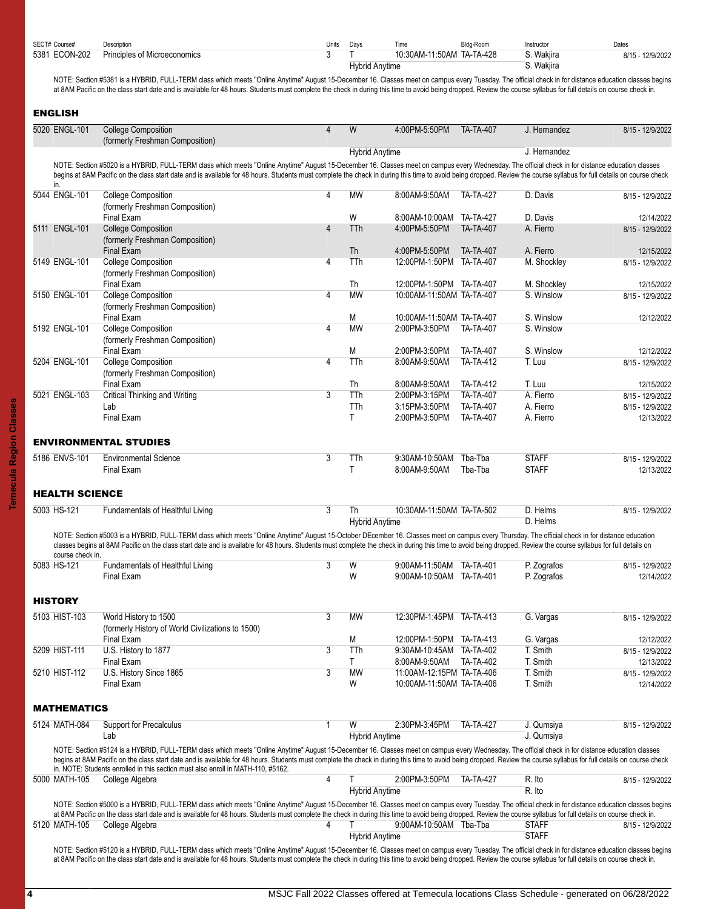<span id="page-3-1"></span><span id="page-3-0"></span>

| 5381 ECON-202                   | Principles of Microeconomics                                                                                                                                                                                                                                                                                                                                                                                                      | 3              | <b>Hybrid Anytime</b>       | 10:30AM-11:50AM TA-TA-428                              |                                      | S. Wakjira<br>S. Wakjira  | 8/15 - 12/9/2022               |
|---------------------------------|-----------------------------------------------------------------------------------------------------------------------------------------------------------------------------------------------------------------------------------------------------------------------------------------------------------------------------------------------------------------------------------------------------------------------------------|----------------|-----------------------------|--------------------------------------------------------|--------------------------------------|---------------------------|--------------------------------|
|                                 | NOTE: Section #5381 is a HYBRID, FULL-TERM class which meets "Online Anytime" August 15-December 16. Classes meet on campus every Tuesday. The official check in for distance education classes begins                                                                                                                                                                                                                            |                |                             |                                                        |                                      |                           |                                |
|                                 | at 8AM Pacific on the class start date and is available for 48 hours. Students must complete the check in during this time to avoid being dropped. Review the course syllabus for full details on course check in.                                                                                                                                                                                                                |                |                             |                                                        |                                      |                           |                                |
| <b>ENGLISH</b>                  |                                                                                                                                                                                                                                                                                                                                                                                                                                   |                |                             |                                                        |                                      |                           |                                |
| 5020 ENGL-101                   | <b>College Composition</b><br>(formerly Freshman Composition)                                                                                                                                                                                                                                                                                                                                                                     | $\overline{4}$ | W                           | 4:00PM-5:50PM                                          | <b>TA-TA-407</b>                     | J. Hernandez              | 8/15 - 12/9/2022               |
|                                 |                                                                                                                                                                                                                                                                                                                                                                                                                                   |                | <b>Hybrid Anytime</b>       |                                                        |                                      | J. Hernandez              |                                |
| in.                             | NOTE: Section #5020 is a HYBRID, FULL-TERM class which meets "Online Anytime" August 15-December 16. Classes meet on campus every Wednesday. The official check in for distance education classes<br>begins at 8AM Pacific on the class start date and is available for 48 hours. Students must complete the check in during this time to avoid being dropped. Review the course syllabus for full details on course check        |                |                             |                                                        |                                      |                           |                                |
| 5044 ENGL-101                   | <b>College Composition</b><br>(formerly Freshman Composition)                                                                                                                                                                                                                                                                                                                                                                     | 4              | МW                          | 8:00AM-9:50AM                                          | <b>TA-TA-427</b>                     | D. Davis                  | 8/15 - 12/9/2022               |
|                                 | Final Exam                                                                                                                                                                                                                                                                                                                                                                                                                        |                | W                           | 8:00AM-10:00AM TA-TA-427                               |                                      | D. Davis                  | 12/14/2022                     |
| 5111 ENGL-101                   | <b>College Composition</b><br>(formerly Freshman Composition)                                                                                                                                                                                                                                                                                                                                                                     | $\overline{4}$ | <b>TTh</b>                  | 4:00PM-5:50PM                                          | <b>TA-TA-407</b>                     | A. Fierro                 | 8/15 - 12/9/2022               |
|                                 | Final Exam                                                                                                                                                                                                                                                                                                                                                                                                                        |                | Th                          | 4:00PM-5:50PM                                          | <b>TA-TA-407</b>                     | A. Fierro                 | 12/15/2022                     |
| 5149 ENGL-101                   | <b>College Composition</b><br>(formerly Freshman Composition)                                                                                                                                                                                                                                                                                                                                                                     | 4              | TTh                         | 12:00PM-1:50PM TA-TA-407                               |                                      | M. Shockley               | 8/15 - 12/9/2022               |
| 5150 ENGL-101                   | Final Exam<br><b>College Composition</b>                                                                                                                                                                                                                                                                                                                                                                                          | $\overline{4}$ | Th<br><b>MW</b>             | 12:00PM-1:50PM TA-TA-407<br>10:00AM-11:50AM TA-TA-407  |                                      | M. Shockley<br>S. Winslow | 12/15/2022<br>8/15 - 12/9/2022 |
|                                 | (formerly Freshman Composition)                                                                                                                                                                                                                                                                                                                                                                                                   |                |                             |                                                        |                                      |                           |                                |
| 5192 ENGL-101                   | Final Exam<br><b>College Composition</b>                                                                                                                                                                                                                                                                                                                                                                                          | 4              | M<br><b>MW</b>              | 10:00AM-11:50AM TA-TA-407<br>2:00PM-3:50PM             | <b>TA-TA-407</b>                     | S. Winslow<br>S. Winslow  | 12/12/2022                     |
|                                 | (formerly Freshman Composition)                                                                                                                                                                                                                                                                                                                                                                                                   |                |                             |                                                        |                                      |                           |                                |
|                                 | Final Exam                                                                                                                                                                                                                                                                                                                                                                                                                        |                | M                           | 2:00PM-3:50PM                                          | <b>TA-TA-407</b>                     | S. Winslow                | 12/12/2022                     |
| 5204 ENGL-101                   | <b>College Composition</b><br>(formerly Freshman Composition)                                                                                                                                                                                                                                                                                                                                                                     | 4              | TTh                         | 8:00AM-9:50AM                                          | <b>TA-TA-412</b>                     | T. Luu                    | 8/15 - 12/9/2022               |
|                                 | <b>Final Exam</b>                                                                                                                                                                                                                                                                                                                                                                                                                 |                | Th                          | 8:00AM-9:50AM                                          | <b>TA-TA-412</b>                     | T. Luu                    | 12/15/2022                     |
| 5021 ENGL-103                   | Critical Thinking and Writing                                                                                                                                                                                                                                                                                                                                                                                                     | 3              | TTh                         | 2:00PM-3:15PM                                          | <b>TA-TA-407</b>                     | A. Fierro                 | 8/15 - 12/9/2022               |
|                                 | Lab<br><b>Final Exam</b>                                                                                                                                                                                                                                                                                                                                                                                                          |                | TTh<br>Τ                    | 3:15PM-3:50PM<br>2:00PM-3:50PM                         | <b>TA-TA-407</b><br><b>TA-TA-407</b> | A. Fierro<br>A. Fierro    | 8/15 - 12/9/2022<br>12/13/2022 |
|                                 | <b>ENVIRONMENTAL STUDIES</b>                                                                                                                                                                                                                                                                                                                                                                                                      |                |                             |                                                        |                                      |                           |                                |
| 5186 ENVS-101                   | <b>Environmental Science</b>                                                                                                                                                                                                                                                                                                                                                                                                      | 3              | TTh                         | 9:30AM-10:50AM                                         | Tba-Tba                              | <b>STAFF</b>              | 8/15 - 12/9/2022               |
|                                 | Final Exam                                                                                                                                                                                                                                                                                                                                                                                                                        |                | Τ                           | 8:00AM-9:50AM                                          | Tba-Tba                              | <b>STAFF</b>              | 12/13/2022                     |
| <b>HEALTH SCIENCE</b>           |                                                                                                                                                                                                                                                                                                                                                                                                                                   |                |                             |                                                        |                                      |                           |                                |
| 5003 HS-121                     | Fundamentals of Healthful Living                                                                                                                                                                                                                                                                                                                                                                                                  | $\overline{3}$ | Th<br><b>Hybrid Anytime</b> | 10:30AM-11:50AM TA-TA-502                              |                                      | D. Helms<br>D. Helms      | 8/15 - 12/9/2022               |
|                                 | NOTE: Section #5003 is a HYBRID, FULL-TERM class which meets "Online Anytime" August 15-October DEcember 16. Classes meet on campus every Thursday. The official check in for distance education<br>classes begins at 8AM Pacific on the class start date and is available for 48 hours. Students must complete the check in during this time to avoid being dropped. Review the course syllabus for full details on              |                |                             |                                                        |                                      |                           |                                |
| course check in.<br>5083 HS-121 | Fundamentals of Healthful Living                                                                                                                                                                                                                                                                                                                                                                                                  |                | $3$ W                       | 9:00AM-11:50AM TA-TA-401                               |                                      | P. Zografos               | 8/15 - 12/9/2022               |
|                                 | Final Exam                                                                                                                                                                                                                                                                                                                                                                                                                        |                | W                           | 9:00AM-10:50AM TA-TA-401                               |                                      | P. Zografos               | 12/14/2022                     |
| <b>HISTORY</b>                  |                                                                                                                                                                                                                                                                                                                                                                                                                                   |                |                             |                                                        |                                      |                           |                                |
| 5103 HIST-103                   | World History to 1500<br>(formerly History of World Civilizations to 1500)                                                                                                                                                                                                                                                                                                                                                        | 3              | MW                          | 12:30PM-1:45PM TA-TA-413                               |                                      | G. Vargas                 | 8/15 - 12/9/2022               |
|                                 | Final Exam                                                                                                                                                                                                                                                                                                                                                                                                                        |                | Μ                           | 12:00PM-1:50PM TA-TA-413                               |                                      | G. Vargas                 | 12/12/2022                     |
| 5209 HIST-111                   | U.S. History to 1877                                                                                                                                                                                                                                                                                                                                                                                                              | 3              | TTh                         | 9:30AM-10:45AM TA-TA-402                               |                                      | T. Smith                  | 8/15 - 12/9/2022               |
|                                 | Final Exam                                                                                                                                                                                                                                                                                                                                                                                                                        |                | Τ                           | 8:00AM-9:50AM                                          | TA-TA-402                            | T. Smith                  | 12/13/2022                     |
| 5210 HIST-112                   | U.S. History Since 1865<br>Final Exam                                                                                                                                                                                                                                                                                                                                                                                             | 3              | MW<br>W                     | 11:00AM-12:15PM TA-TA-406<br>10:00AM-11:50AM TA-TA-406 |                                      | T. Smith<br>T. Smith      | 8/15 - 12/9/2022<br>12/14/2022 |
| <b>MATHEMATICS</b>              |                                                                                                                                                                                                                                                                                                                                                                                                                                   |                |                             |                                                        |                                      |                           |                                |
| 5124 MATH-084                   | Support for Precalculus                                                                                                                                                                                                                                                                                                                                                                                                           | $\mathbf{1}$   | W                           | 2:30PM-3:45PM                                          | <b>TA-TA-427</b>                     | J. Qumsiya                | 8/15 - 12/9/2022               |
|                                 | Lab<br>NOTE: Section #5124 is a HYBRID, FULL-TERM class which meets "Online Anytime" August 15-December 16. Classes meet on campus every Wednesday. The official check in for distance education classes<br>begins at 8AM Pacific on the class start date and is available for 48 hours. Students must complete the check in during this time to avoid being dropped. Review the course syllabus for full details on course check |                | <b>Hybrid Anytime</b>       |                                                        |                                      | J. Qumsiya                |                                |
| 5000 MATH-105                   | in. NOTE: Students enrolled in this section must also enroll in MATH-110, #5162.<br>College Algebra                                                                                                                                                                                                                                                                                                                               | 4              |                             | 2:00PM-3:50PM                                          | <b>TA-TA-427</b>                     | R. Ito                    | 8/15 - 12/9/2022               |
|                                 |                                                                                                                                                                                                                                                                                                                                                                                                                                   |                | <b>Hybrid Anytime</b>       |                                                        |                                      | R. Ito                    |                                |
|                                 | NOTE: Section #5000 is a HYBRID, FULL-TERM class which meets "Online Anytime" August 15-December 16. Classes meet on campus every Tuesday. The official check in for distance education classes begins<br>at 8AM Pacific on the class start date and is available for 48 hours. Students must complete the check in during this time to avoid being dropped. Review the course syllabus for full details on course check in.      |                |                             |                                                        |                                      |                           |                                |
| 5120 MATH-105                   | College Algebra                                                                                                                                                                                                                                                                                                                                                                                                                   | 4              |                             | 9:00AM-10:50AM Tba-Tba                                 |                                      | <b>STAFF</b>              | 8/15 - 12/9/2022               |
|                                 |                                                                                                                                                                                                                                                                                                                                                                                                                                   |                | <b>Hybrid Anytime</b>       |                                                        |                                      | <b>STAFF</b>              |                                |

<span id="page-3-4"></span><span id="page-3-3"></span><span id="page-3-2"></span>NOTE: Section #5120 is a HYBRID, FULL-TERM class which meets "Online Anytime" August 15-December 16. Classes meet on campus every Tuesday. The official check in for distance education classes begins at 8AM Pacific on the class start date and is available for 48 hours. Students must complete the check in during this time to avoid being dropped. Review the course syllabus for full details on course check in.

| SECT# Course#           | Description                  | Units | Davs           |                      | da-Room-         | `าstructo.                   | Dates                |
|-------------------------|------------------------------|-------|----------------|----------------------|------------------|------------------------------|----------------------|
| <b>ECON-202</b><br>5381 | Principles of Microeconomics |       |                | 10:30AM-1<br>11:50AM | <b>TA-TA-428</b> | Wakiira                      | $-12/9/2022$<br>8/15 |
|                         |                              |       | Hybrid Anytime |                      |                  | $M$ oliin<br><b>VVaNII d</b> |                      |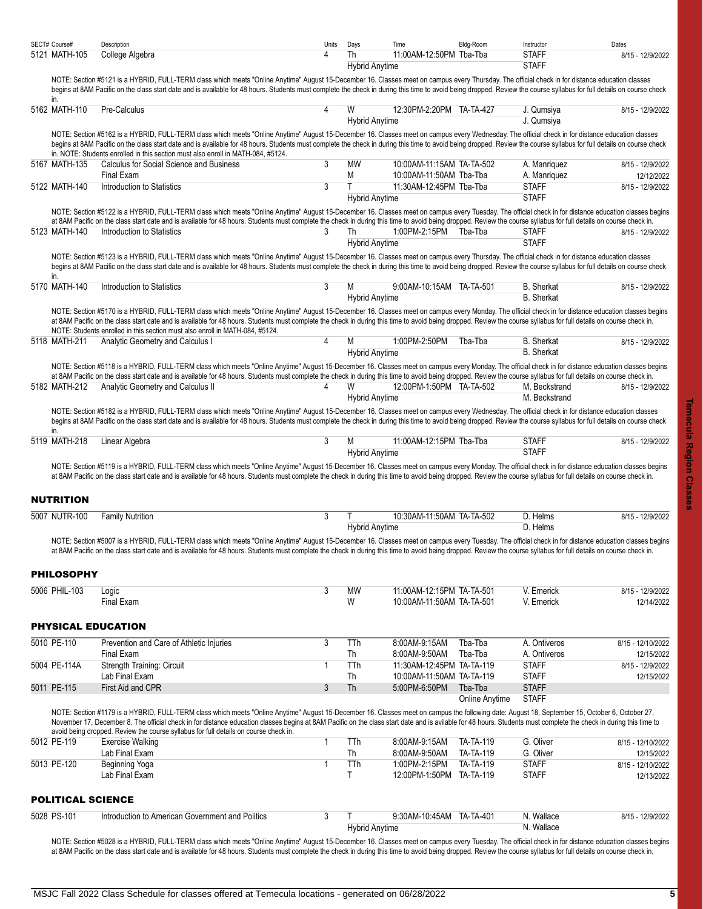<span id="page-4-3"></span><span id="page-4-2"></span><span id="page-4-1"></span><span id="page-4-0"></span>

| SECT# Course# |                          | Description                                                                                                                                                                                                                                                                                                                                                                                                                                                                                                    | Units          | Days                        | Time                                                   | Bldg-Room        | Instructor                             | Dates                           |
|---------------|--------------------------|----------------------------------------------------------------------------------------------------------------------------------------------------------------------------------------------------------------------------------------------------------------------------------------------------------------------------------------------------------------------------------------------------------------------------------------------------------------------------------------------------------------|----------------|-----------------------------|--------------------------------------------------------|------------------|----------------------------------------|---------------------------------|
|               | 5121 MATH-105            | College Algebra                                                                                                                                                                                                                                                                                                                                                                                                                                                                                                | 4              | Th<br><b>Hybrid Anytime</b> | 11:00AM-12:50PM Tba-Tba                                |                  | <b>STAFF</b><br><b>STAFF</b>           | 8/15 - 12/9/2022                |
|               | in.                      | NOTE: Section #5121 is a HYBRID, FULL-TERM class which meets "Online Anytime" August 15-December 16. Classes meet on campus every Thursday. The official check in for distance education classes<br>begins at 8AM Pacific on the class start date and is available for 48 hours. Students must complete the check in during this time to avoid being dropped. Review the course syllabus for full details on course check                                                                                      |                |                             |                                                        |                  |                                        |                                 |
|               | 5162 MATH-110            | Pre-Calculus                                                                                                                                                                                                                                                                                                                                                                                                                                                                                                   | 4              | W<br><b>Hybrid Anytime</b>  | 12:30PM-2:20PM TA-TA-427                               |                  | J. Qumsiya<br>J. Qumsiya               | 8/15 - 12/9/2022                |
|               |                          | NOTE: Section #5162 is a HYBRID, FULL-TERM class which meets "Online Anytime" August 15-December 16. Classes meet on campus every Wednesday. The official check in for distance education classes<br>begins at 8AM Pacific on the class start date and is available for 48 hours. Students must complete the check in during this time to avoid being dropped. Review the course syllabus for full details on course check<br>in. NOTE: Students enrolled in this section must also enroll in MATH-084, #5124. |                |                             |                                                        |                  |                                        |                                 |
|               | 5167 MATH-135            | Calculus for Social Science and Business                                                                                                                                                                                                                                                                                                                                                                                                                                                                       | 3              | MW                          | 10:00AM-11:15AM TA-TA-502                              |                  | A. Manriquez                           | 8/15 - 12/9/2022                |
|               |                          | Final Exam                                                                                                                                                                                                                                                                                                                                                                                                                                                                                                     | 3              | М<br>T                      | 10:00AM-11:50AM Tba-Tba                                |                  | A. Manriquez<br><b>STAFF</b>           | 12/12/2022                      |
|               | 5122 MATH-140            | Introduction to Statistics                                                                                                                                                                                                                                                                                                                                                                                                                                                                                     |                | <b>Hybrid Anytime</b>       | 11:30AM-12:45PM Tba-Tba                                |                  | <b>STAFF</b>                           | 8/15 - 12/9/2022                |
|               |                          | NOTE: Section #5122 is a HYBRID, FULL-TERM class which meets "Online Anytime" August 15-December 16. Classes meet on campus every Tuesday. The official check in for distance education classes begins<br>at 8AM Pacific on the class start date and is available for 48 hours. Students must complete the check in during this time to avoid being dropped. Review the course syllabus for full details on course check in.                                                                                   |                |                             |                                                        |                  |                                        |                                 |
|               | 5123 MATH-140            | Introduction to Statistics                                                                                                                                                                                                                                                                                                                                                                                                                                                                                     | 3              | Th<br><b>Hybrid Anytime</b> | 1:00PM-2:15PM                                          | Tba-Tba          | <b>STAFF</b><br><b>STAFF</b>           | 8/15 - 12/9/2022                |
|               |                          | NOTE: Section #5123 is a HYBRID, FULL-TERM class which meets "Online Anytime" August 15-December 16. Classes meet on campus every Thursday. The official check in for distance education classes<br>begins at 8AM Pacific on the class start date and is available for 48 hours. Students must complete the check in during this time to avoid being dropped. Review the course syllabus for full details on course check                                                                                      |                |                             |                                                        |                  |                                        |                                 |
|               | in.<br>5170 MATH-140     | Introduction to Statistics                                                                                                                                                                                                                                                                                                                                                                                                                                                                                     | 3              | M                           | 9.00AM-10:15AM TA-TA-501                               |                  | <b>B.</b> Sherkat                      | 8/15 - 12/9/2022                |
|               |                          |                                                                                                                                                                                                                                                                                                                                                                                                                                                                                                                |                | <b>Hybrid Anytime</b>       |                                                        |                  | <b>B.</b> Sherkat                      |                                 |
|               |                          | NOTE: Section #5170 is a HYBRID, FULL-TERM class which meets "Online Anytime" August 15-December 16. Classes meet on campus every Monday. The official check in for distance education classes begins<br>at 8AM Pacific on the class start date and is available for 48 hours. Students must complete the check in during this time to avoid being dropped. Review the course syllabus for full details on course check in.<br>NOTE: Students enrolled in this section must also enroll in MATH-084, #5124.    |                |                             |                                                        |                  |                                        |                                 |
|               | 5118 MATH-211            | Analytic Geometry and Calculus I                                                                                                                                                                                                                                                                                                                                                                                                                                                                               | 4              | M<br><b>Hybrid Anytime</b>  | 1:00PM-2:50PM                                          | Tba-Tba          | <b>B.</b> Sherkat<br><b>B.</b> Sherkat | 8/15 - 12/9/2022                |
|               |                          | NOTE: Section #5118 is a HYBRID, FULL-TERM class which meets "Online Anytime" August 15-December 16. Classes meet on campus every Monday. The official check in for distance education classes begins<br>at 8AM Pacific on the class start date and is available for 48 hours. Students must complete the check in during this time to avoid being dropped. Review the course syllabus for full details on course check in.                                                                                    |                |                             |                                                        |                  |                                        |                                 |
|               | 5182 MATH-212            | Analytic Geometry and Calculus II                                                                                                                                                                                                                                                                                                                                                                                                                                                                              | 4              | W<br><b>Hybrid Anytime</b>  | 12:00PM-1:50PM TA-TA-502                               |                  | M. Beckstrand<br>M. Beckstrand         | 8/15 - 12/9/2022                |
|               |                          | NOTE: Section #5182 is a HYBRID, FULL-TERM class which meets "Online Anytime" August 15-December 16. Classes meet on campus every Wednesday. The official check in for distance education classes<br>begins at 8AM Pacific on the class start date and is available for 48 hours. Students must complete the check in during this time to avoid being dropped. Review the course syllabus for full details on course check                                                                                     |                |                             |                                                        |                  |                                        |                                 |
|               | in.<br>5119 MATH-218     | Linear Algebra                                                                                                                                                                                                                                                                                                                                                                                                                                                                                                 | 3              | М                           | 11:00AM-12:15PM Tba-Tba                                |                  | <b>STAFF</b>                           | 8/15 - 12/9/2022                |
|               |                          | NOTE: Section #5119 is a HYBRID, FULL-TERM class which meets "Online Anytime" August 15-December 16. Classes meet on campus every Monday. The official check in for distance education classes begins                                                                                                                                                                                                                                                                                                          |                | <b>Hybrid Anytime</b>       |                                                        |                  | <b>STAFF</b>                           |                                 |
|               |                          | at 8AM Pacific on the class start date and is available for 48 hours. Students must complete the check in during this time to avoid being dropped. Review the course syllabus for full details on course check in.                                                                                                                                                                                                                                                                                             |                |                             |                                                        |                  |                                        |                                 |
|               | <b>NUTRITION</b>         |                                                                                                                                                                                                                                                                                                                                                                                                                                                                                                                |                |                             |                                                        |                  |                                        |                                 |
|               | 5007 NUTR-100            | <b>Family Nutrition</b>                                                                                                                                                                                                                                                                                                                                                                                                                                                                                        | 3              | Τ<br><b>Hybrid Anytime</b>  | 10:30AM-11:50AM TA-TA-502                              |                  | D. Helms<br>D. Helms                   | 8/15 - 12/9/2022                |
|               |                          | NOTE: Section #5007 is a HYBRID, FULL-TERM class which meets "Online Anytime" August 15-December 16. Classes meet on campus every Tuesday. The official check in for distance education classes begins<br>at 8AM Pacific on the class start date and is available for 48 hours. Students must complete the check in during this time to avoid being dropped. Review the course syllabus for full details on course check in.                                                                                   |                |                             |                                                        |                  |                                        |                                 |
|               | <b>PHILOSOPHY</b>        |                                                                                                                                                                                                                                                                                                                                                                                                                                                                                                                |                |                             |                                                        |                  |                                        |                                 |
|               | 5006 PHIL-103            | Logic<br>Final Exam                                                                                                                                                                                                                                                                                                                                                                                                                                                                                            | $\overline{3}$ | <b>MW</b><br>W              | 11:00AM-12:15PM TA-TA-501<br>10:00AM-11:50AM TA-TA-501 |                  | V. Emerick<br>V. Emerick               | 8/15 - 12/9/2022                |
|               |                          |                                                                                                                                                                                                                                                                                                                                                                                                                                                                                                                |                |                             |                                                        |                  |                                        | 12/14/2022                      |
|               |                          | <b>PHYSICAL EDUCATION</b>                                                                                                                                                                                                                                                                                                                                                                                                                                                                                      |                |                             |                                                        |                  |                                        |                                 |
|               | 5010 PE-110              | Prevention and Care of Athletic Injuries                                                                                                                                                                                                                                                                                                                                                                                                                                                                       | $\overline{3}$ | TTh                         | 8:00AM-9:15AM                                          | Tba-Tba          | A. Ontiveros                           | 8/15 - 12/10/2022               |
|               |                          | <b>Final Exam</b>                                                                                                                                                                                                                                                                                                                                                                                                                                                                                              |                | Th                          | 8:00AM-9:50AM                                          | Tba-Tba          | A. Ontiveros                           | 12/15/2022                      |
|               | 5004 PE-114A             | Strength Training: Circuit<br>Lab Final Exam                                                                                                                                                                                                                                                                                                                                                                                                                                                                   | $\mathbf{1}$   | TTh<br>Th                   | 11:30AM-12:45PM TA-TA-119<br>10:00AM-11:50AM TA-TA-119 |                  | <b>STAFF</b><br><b>STAFF</b>           | 8/15 - 12/9/2022<br>12/15/2022  |
|               | 5011 PE-115              | First Aid and CPR                                                                                                                                                                                                                                                                                                                                                                                                                                                                                              | 3              | Th                          | 5:00PM-6:50PM                                          | Tba-Tba          | <b>STAFF</b>                           |                                 |
|               |                          |                                                                                                                                                                                                                                                                                                                                                                                                                                                                                                                |                |                             |                                                        | Online Anytime   | <b>STAFF</b>                           |                                 |
|               |                          | NOTE: Section #1179 is a HYBRID, FULL-TERM class which meets "Online Anytime" August 15-December 16. Classes meet on campus the following date: August 18, September 15, October 6, October 27,<br>November 17, December 8. The official check in for distance education classes begins at 8AM Pacific on the class start date and is avilable for 48 hours. Students must complete the check in during this time to                                                                                           |                |                             |                                                        |                  |                                        |                                 |
|               | 5012 PE-119              | avoid being dropped. Review the course syllabus for full details on course check in.<br>Exercise Walking                                                                                                                                                                                                                                                                                                                                                                                                       | $\mathbf{1}$   | TTh                         | 8:00AM-9:15AM                                          | <b>TA-TA-119</b> | G. Oliver                              | 8/15 - 12/10/2022               |
|               |                          | Lab Final Exam                                                                                                                                                                                                                                                                                                                                                                                                                                                                                                 |                | Th                          | 8:00AM-9:50AM                                          | <b>TA-TA-119</b> | G. Oliver                              | 12/15/2022                      |
|               | 5013 PE-120              | Beginning Yoga<br>Lab Final Exam                                                                                                                                                                                                                                                                                                                                                                                                                                                                               | $\mathbf 1$    | TTh<br>T.                   | 1:00PM-2:15PM<br>12:00PM-1:50PM TA-TA-119              | <b>TA-TA-119</b> | <b>STAFF</b><br><b>STAFF</b>           | 8/15 - 12/10/2022<br>12/13/2022 |
|               | <b>POLITICAL SCIENCE</b> |                                                                                                                                                                                                                                                                                                                                                                                                                                                                                                                |                |                             |                                                        |                  |                                        |                                 |
|               | 5028 PS-101              | Introduction to American Government and Politics                                                                                                                                                                                                                                                                                                                                                                                                                                                               | 3              | Τ                           | 9:30AM-10:45AM TA-TA-401                               |                  | N. Wallace                             | 8/15 - 12/9/2022                |
|               |                          |                                                                                                                                                                                                                                                                                                                                                                                                                                                                                                                |                | <b>Hybrid Anytime</b>       |                                                        |                  | N. Wallace                             |                                 |
|               |                          | NOTE: Section #5028 is a HYBRID, FULL-TERM class which meets "Online Anytime" August 15-December 16. Classes meet on campus every Tuesday. The official check in for distance education classes begins<br>at 8AM Pacific on the class start date and is available for 48 hours. Students must complete the check in during this time to avoid being dropped. Review the course syllabus for full details on course check in.                                                                                   |                |                             |                                                        |                  |                                        |                                 |